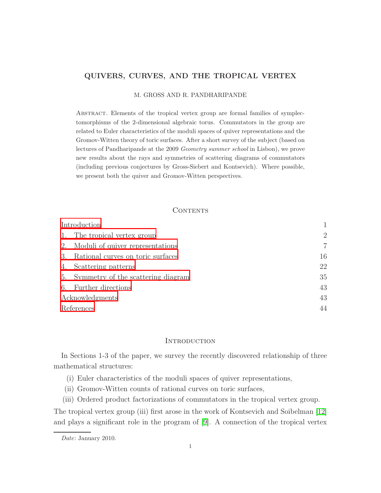# QUIVERS, CURVES, AND THE TROPICAL VERTEX

M. GROSS AND R. PANDHARIPANDE

Abstract. Elements of the tropical vertex group are formal families of symplectomorphisms of the 2-dimensional algebraic torus. Commutators in the group are related to Euler characteristics of the moduli spaces of quiver representations and the Gromov-Witten theory of toric surfaces. After a short survey of the subject (based on lectures of Pandharipande at the 2009 Geometry summer school in Lisbon), we prove new results about the rays and symmetries of scattering diagrams of commutators (including previous conjectures by Gross-Siebert and Kontsevich). Where possible, we present both the quiver and Gromov-Witten perspectives.

# CONTENTS

| Introduction    |                                       |    |
|-----------------|---------------------------------------|----|
| 1.              | The tropical vertex group             | 2  |
|                 | 2. Moduli of quiver representations   | 7  |
| 3.              | Rational curves on toric surfaces     | 16 |
| 4.              | Scattering patterns                   | 22 |
|                 | 5. Symmetry of the scattering diagram | 35 |
| 6.              | Further directions                    | 43 |
| Acknowledgments |                                       | 43 |
| References      |                                       | 44 |

# **INTRODUCTION**

<span id="page-0-0"></span>In Sections 1-3 of the paper, we survey the recently discovered relationship of three mathematical structures:

- (i) Euler characteristics of the moduli spaces of quiver representations,
- (ii) Gromov-Witten counts of rational curves on toric surfaces,
- (iii) Ordered product factorizations of commutators in the tropical vertex group.

The tropical vertex group (iii) first arose in the work of Kontsevich and Soibelman [\[12\]](#page-43-1) and plays a significant role in the program of [\[9\]](#page-43-2). A connection of the tropical vertex

Date: January 2010.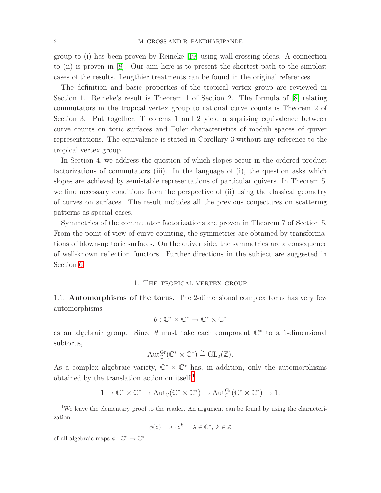group to (i) has been proven by Reineke [\[19\]](#page-43-3) using wall-crossing ideas. A connection to (ii) is proven in [\[8\]](#page-43-4). Our aim here is to present the shortest path to the simplest cases of the results. Lengthier treatments can be found in the original references.

The definition and basic properties of the tropical vertex group are reviewed in Section 1. Reineke's result is Theorem 1 of Section 2. The formula of [\[8\]](#page-43-4) relating commutators in the tropical vertex group to rational curve counts is Theorem 2 of Section 3. Put together, Theorems 1 and 2 yield a suprising equivalence between curve counts on toric surfaces and Euler characteristics of moduli spaces of quiver representations. The equivalence is stated in Corollary 3 without any reference to the tropical vertex group.

In Section 4, we address the question of which slopes occur in the ordered product factorizations of commutators (iii). In the language of (i), the question asks which slopes are achieved by semistable representations of particular quivers. In Theorem 5, we find necessary conditions from the perspective of (ii) using the classical geometry of curves on surfaces. The result includes all the previous conjectures on scattering patterns as special cases.

Symmetries of the commutator factorizations are proven in Theorem 7 of Section 5. From the point of view of curve counting, the symmetries are obtained by transformations of blown-up toric surfaces. On the quiver side, the symmetries are a consequence of well-known reflection functors. Further directions in the subject are suggested in Section [6.](#page-42-0)

#### 1. The tropical vertex group

<span id="page-1-0"></span>1.1. Automorphisms of the torus. The 2-dimensional complex torus has very few automorphisms

$$
\theta: \mathbb{C}^* \times \mathbb{C}^* \to \mathbb{C}^* \times \mathbb{C}^*
$$

as an algebraic group. Since  $\theta$  must take each component  $\mathbb{C}^*$  to a 1-dimensional subtorus,

$$
\operatorname{Aut}^{\operatorname{Gr}}_{\mathbb{C}}(\mathbb{C}^*\times\mathbb{C}^*)\stackrel{\sim}{=}\operatorname{GL}_2(\mathbb{Z}).
$$

As a complex algebraic variety,  $\mathbb{C}^* \times \mathbb{C}^*$  has, in addition, only the automorphisms obtained by the translation action on itself, $<sup>1</sup>$  $<sup>1</sup>$  $<sup>1</sup>$ </sup>

$$
1 \to \mathbb{C}^* \times \mathbb{C}^* \to \mathrm{Aut}_{\mathbb{C}}(\mathbb{C}^* \times \mathbb{C}^*) \to \mathrm{Aut}_{\mathbb{C}}^{\mathrm{Gr}}(\mathbb{C}^* \times \mathbb{C}^*) \to 1.
$$

$$
\phi(z) = \lambda \cdot z^k \quad \lambda \in \mathbb{C}^*, \ k \in \mathbb{Z}
$$

of all algebraic maps  $\phi : \mathbb{C}^* \to \mathbb{C}^*$ .

<span id="page-1-1"></span><sup>&</sup>lt;sup>1</sup>We leave the elementary proof to the reader. An argument can be found by using the characterization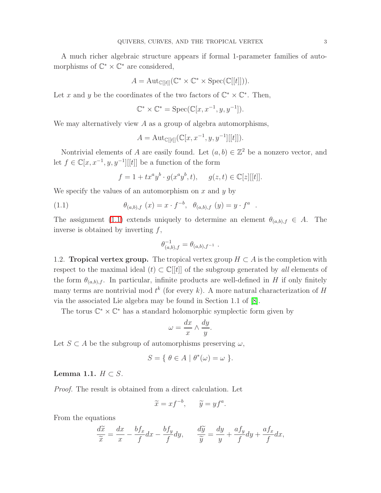A much richer algebraic structure appears if formal 1-parameter families of automorphisms of  $\mathbb{C}^* \times \mathbb{C}^*$  are considered,

$$
A = \mathrm{Aut}_{\mathbb{C}[[t]]}(\mathbb{C}^* \times \mathbb{C}^* \times \mathrm{Spec}(\mathbb{C}[[t]])).
$$

Let x and y be the coordinates of the two factors of  $\mathbb{C}^* \times \mathbb{C}^*$ . Then,

$$
\mathbb{C}^* \times \mathbb{C}^* = \text{Spec}(\mathbb{C}[x, x^{-1}, y, y^{-1}]).
$$

We may alternatively view A as a group of algebra automorphisms,

$$
A = \text{Aut}_{\mathbb{C}[[t]]}(\mathbb{C}[x, x^{-1}, y, y^{-1}][[t]]).
$$

Nontrivial elements of A are easily found. Let  $(a, b) \in \mathbb{Z}^2$  be a nonzero vector, and let  $f \in \mathbb{C}[x, x^{-1}, y, y^{-1}][[t]]$  be a function of the form

$$
f = 1 + tx^a y^b \cdot g(x^a y^b, t), \quad g(z, t) \in \mathbb{C}[z][[t]].
$$

<span id="page-2-0"></span>We specify the values of an automorphism on  $x$  and  $y$  by

(1.1) 
$$
\theta_{(a,b),f}(x) = x \cdot f^{-b}, \quad \theta_{(a,b),f}(y) = y \cdot f^{a}
$$

The assignment [\(1.1\)](#page-2-0) extends uniquely to determine an element  $\theta_{(a,b),f} \in A$ . The inverse is obtained by inverting  $f$ ,

.

$$
\theta_{(a,b),f}^{-1} = \theta_{(a,b),f^{-1}} \ .
$$

1.2. Tropical vertex group. The tropical vertex group  $H \subset A$  is the completion with respect to the maximal ideal  $(t) \subset \mathbb{C}[[t]]$  of the subgroup generated by all elements of the form  $\theta_{(a,b),f}$ . In particular, infinite products are well-defined in H if only finitely many terms are nontrivial mod  $t^k$  (for every k). A more natural characterization of H via the associated Lie algebra may be found in Section 1.1 of [\[8\]](#page-43-4).

The torus  $\mathbb{C}^* \times \mathbb{C}^*$  has a standard holomorphic symplectic form given by

$$
\omega = \frac{dx}{x} \wedge \frac{dy}{y}.
$$

Let  $S \subset A$  be the subgroup of automorphisms preserving  $\omega$ ,

$$
S = \{ \ \theta \in A \mid \theta^*(\omega) = \omega \ \}.
$$

Lemma 1.1.  $H \subset S$ .

Proof. The result is obtained from a direct calculation. Let

$$
\widetilde{x} = x f^{-b}, \qquad \widetilde{y} = y f^a.
$$

From the equations

$$
\frac{d\widetilde{x}}{\widetilde{x}} = \frac{dx}{x} - \frac{bf_x}{f} dx - \frac{bf_y}{f} dy, \qquad \frac{d\widetilde{y}}{\widetilde{y}} = \frac{dy}{y} + \frac{af_y}{f} dy + \frac{af_x}{f} dx,
$$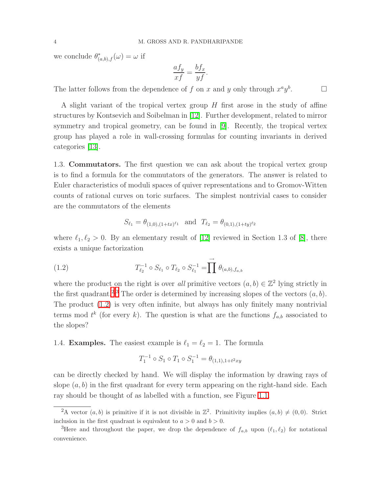we conclude  $\theta_{(a,b),f}^*(\omega) = \omega$  if

$$
\frac{af_y}{xf} = \frac{bf_x}{yf}.
$$

 $\Box$ 

The latter follows from the dependence of f on x and y only through  $x^a y^b$ 

A slight variant of the tropical vertex group  $H$  first arose in the study of affine structures by Kontsevich and Soibelman in [\[12\]](#page-43-1). Further development, related to mirror symmetry and tropical geometry, can be found in [\[9\]](#page-43-2). Recently, the tropical vertex group has played a role in wall-crossing formulas for counting invariants in derived categories [\[13\]](#page-43-5).

1.3. Commutators. The first question we can ask about the tropical vertex group is to find a formula for the commutators of the generators. The answer is related to Euler characteristics of moduli spaces of quiver representations and to Gromov-Witten counts of rational curves on toric surfaces. The simplest nontrivial cases to consider are the commutators of the elements

$$
S_{\ell_1} = \theta_{(1,0),(1+tx)^{\ell_1}} \quad \text{and} \quad T_{\ell_2} = \theta_{(0,1),(1+ty)^{\ell_2}}
$$

where  $\ell_1, \ell_2 > 0$ . By an elementary result of [\[12\]](#page-43-1) reviewed in Section 1.3 of [\[8\]](#page-43-4), there exists a unique factorization

<span id="page-3-2"></span>(1.2) 
$$
T_{\ell_2}^{-1} \circ S_{\ell_1} \circ T_{\ell_2} \circ S_{\ell_1}^{-1} = \prod \rightarrow{\ell_{(a,b),f_{a,b}}}
$$

where the product on the right is over all primitive vectors  $(a, b) \in \mathbb{Z}^2$  lying strictly in the first quadrant.<sup>[2](#page-3-0),[3](#page-3-1)</sup> The order is determined by increasing slopes of the vectors  $(a, b)$ . The product [\(1.2\)](#page-3-2) is very often infinite, but always has only finitely many nontrivial terms mod  $t^k$  (for every k). The question is what are the functions  $f_{a,b}$  associated to the slopes?

<span id="page-3-3"></span>1.4. **Examples.** The easiest example is  $\ell_1 = \ell_2 = 1$ . The formula

$$
T_1^{-1} \circ S_1 \circ T_1 \circ S_1^{-1} = \theta_{(1,1),1+t^2xy}
$$

can be directly checked by hand. We will display the information by drawing rays of slope  $(a, b)$  in the first quadrant for every term appearing on the right-hand side. Each ray should be thought of as labelled with a function, see Figure [1.1.](#page-4-0)

<span id="page-3-0"></span><sup>&</sup>lt;sup>2</sup>A vector  $(a, b)$  is primitive if it is not divisible in  $\mathbb{Z}^2$ . Primitivity implies  $(a, b) \neq (0, 0)$ . Strict inclusion in the first quadrant is equivalent to  $a > 0$  and  $b > 0$ .

<span id="page-3-1"></span><sup>&</sup>lt;sup>3</sup>Here and throughout the paper, we drop the dependence of  $f_{a,b}$  upon  $(\ell_1, \ell_2)$  for notational convenience.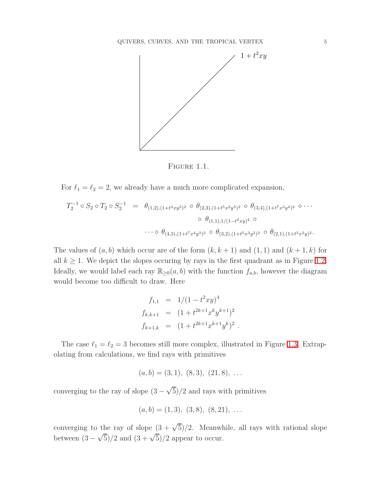

<span id="page-4-0"></span>FIGURE 1.1.

For  $\ell_1 = \ell_2 = 2$ , we already have a much more complicated expansion,

$$
T_2^{-1} \circ S_2 \circ T_2 \circ S_2^{-1} = \theta_{(1,2),(1+t^3xy^2)^2} \circ \theta_{(2,3),(1+t^5x^2y^3)^2} \circ \theta_{(3,4),(1+t^7x^3y^4)^2} \circ \cdots
$$

$$
\circ \theta_{(1,1),1/(1-t^2xy)^4} \circ \cdots \circ \theta_{(4,3),(1+t^7x^4y^3)^2} \circ \theta_{(3,2),(1+t^5x^3y^2)^2} \circ \theta_{(2,1),(1+t^3x^2y)^2}.
$$

The values of  $(a, b)$  which occur are of the form  $(k, k + 1)$  and  $(1, 1)$  and  $(k + 1, k)$  for all  $k \geq 1$ . We depict the slopes occuring by rays in the first quadrant as in Figure [1.2.](#page-5-0) Ideally, we would label each ray  $\mathbb{R}_{\geq 0}(a, b)$  with the function  $f_{a,b}$ , however the diagram would become too difficult to draw. Here

$$
f_{1,1} = 1/(1 - t^2 xy)^4
$$
  
\n
$$
f_{k,k+1} = (1 + t^{2k+1} x^k y^{k+1})^2
$$
  
\n
$$
f_{k+1,k} = (1 + t^{2k+1} x^{k+1} y^k)^2
$$

.

The case  $\ell_1 = \ell_2 = 3$  becomes still more complex, illustrated in Figure [1.3.](#page-5-1) Extrapolating from calculations, we find rays with primitives

$$
(a, b) = (3, 1), (8, 3), (21, 8), \ldots
$$

converging to the ray of slope  $(3 - \sqrt{5})/2$  and rays with primitives

$$
(a, b) = (1, 3), (3, 8), (8, 21), \ldots
$$

converging to the ray of slope  $(3 + \sqrt{5})/2$ . Meanwhile, all rays with rational slope between  $(3-\sqrt{5})/2$  and  $(3+\sqrt{5})/2$  appear to occur.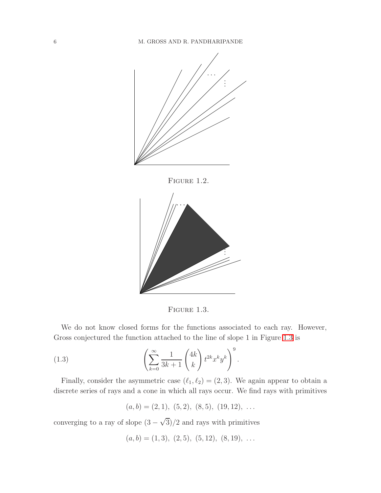

<span id="page-5-0"></span>



FIGURE 1.3.

We do not know closed forms for the functions associated to each ray. However, Gross conjectured the function attached to the line of slope 1 in Figure [1.3](#page-5-1) is

<span id="page-5-2"></span>(1.3) 
$$
\left(\sum_{k=0}^{\infty} \frac{1}{3k+1} \binom{4k}{k} t^{2k} x^k y^k\right)^9.
$$

Finally, consider the asymmetric case  $(\ell_1, \ell_2) = (2, 3)$ . We again appear to obtain a discrete series of rays and a cone in which all rays occur. We find rays with primitives

<span id="page-5-1"></span> $(a, b) = (2, 1), (5, 2), (8, 5), (19, 12), \ldots$ 

converging to a ray of slope  $(3 - \sqrt{3})/2$  and rays with primitives

$$
(a, b) = (1, 3), (2, 5), (5, 12), (8, 19), \ldots
$$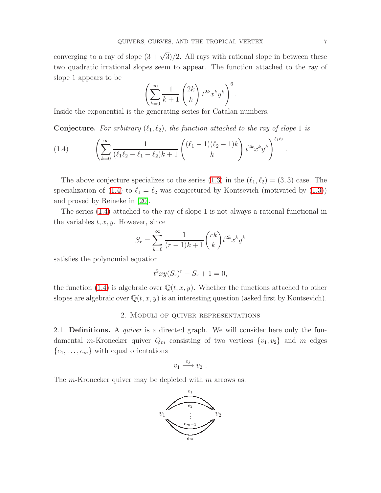converging to a ray of slope  $(3 + \sqrt{3})/2$ . All rays with rational slope in between these two quadratic irrational slopes seem to appear. The function attached to the ray of slope 1 appears to be

$$
\left(\sum_{k=0}^{\infty} \frac{1}{k+1} \binom{2k}{k} t^{2k} x^k y^k\right)^6.
$$

Inside the exponential is the generating series for Catalan numbers.

**Conjecture.** For arbitrary  $(\ell_1, \ell_2)$ , the function attached to the ray of slope 1 is

<span id="page-6-1"></span>(1.4) 
$$
\left(\sum_{k=0}^{\infty} \frac{1}{(\ell_1 \ell_2 - \ell_1 - \ell_2)k + 1} \binom{(\ell_1 - 1)(\ell_2 - 1)k}{k} t^{2k} x^k y^k\right)^{\ell_1 \ell_2}
$$

The above conjecture specializes to the series  $(1.3)$  in the  $(\ell_1, \ell_2) = (3, 3)$  case. The specialization of [\(1.4\)](#page-6-1) to  $\ell_1 = \ell_2$  was conjectured by Kontsevich (motivated by [\(1.3\)](#page-5-2)) and proved by Reineke in [\[20\]](#page-44-0).

The series [\(1.4\)](#page-6-1) attached to the ray of slope 1 is not always a rational functional in the variables  $t, x, y$ . However, since

$$
S_r = \sum_{k=0}^{\infty} \frac{1}{(r-1)k+1} \binom{rk}{k} t^{2k} x^k y^k
$$

satisfies the polynomial equation

$$
t^2xy(S_r)^r - S_r + 1 = 0,
$$

<span id="page-6-0"></span>the function [\(1.4\)](#page-6-1) is algebraic over  $\mathbb{Q}(t, x, y)$ . Whether the functions attached to other slopes are algebraic over  $\mathbb{Q}(t, x, y)$  is an interesting question (asked first by Kontsevich).

### 2. Moduli of quiver representations

2.1. **Definitions.** A *quiver* is a directed graph. We will consider here only the fundamental m-Kronecker quiver  $Q_m$  consisting of two vertices  $\{v_1, v_2\}$  and m edges  $\{e_1, \ldots, e_m\}$  with equal orientations

$$
v_1 \xrightarrow{e_j} v_2 .
$$

The  $m$ -Kronecker quiver may be depicted with  $m$  arrows as:



.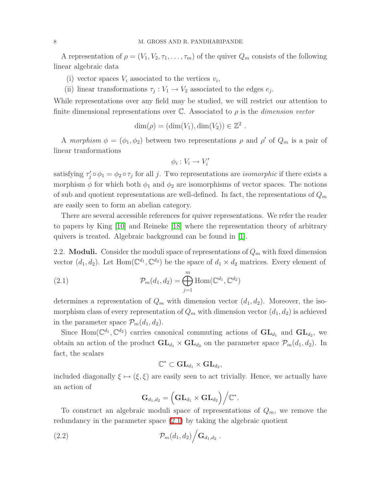A representation of  $\rho = (V_1, V_2, \tau_1, \ldots, \tau_m)$  of the quiver  $Q_m$  consists of the following linear algebraic data

- (i) vector spaces  $V_i$  associated to the vertices  $v_i$ ,
- (ii) linear transformations  $\tau_j : V_1 \to V_2$  associated to the edges  $e_j$ .

While representations over any field may be studied, we will restrict our attention to finite dimensional representations over  $\mathbb C$ . Associated to  $\rho$  is the *dimension vector* 

$$
\dim(\rho) = (\dim(V_1), \dim(V_2)) \in \mathbb{Z}^2
$$

.

A morphism  $\phi = (\phi_1, \phi_2)$  between two representations  $\rho$  and  $\rho'$  of  $Q_m$  is a pair of linear tranformations

$$
\phi_i:V_i\to V'_i
$$

satisfying  $\tau'_j \circ \phi_1 = \phi_2 \circ \tau_j$  for all j. Two representations are *isomorphic* if there exists a morphism  $\phi$  for which both  $\phi_1$  and  $\phi_2$  are isomorphisms of vector spaces. The notions of sub and quotient representations are well-defined. In fact, the representations of  $Q_m$ are easily seen to form an abelian category.

There are several accessible references for quiver representations. We refer the reader to papers by King [\[10\]](#page-43-6) and Reineke [\[18\]](#page-43-7) where the representation theory of arbitrary quivers is treated. Algebraic background can be found in [\[1\]](#page-43-8).

2.2. **Moduli.** Consider the moduli space of representations of  $Q_m$  with fixed dimension vector  $(d_1, d_2)$ . Let  $Hom(\mathbb{C}^{d_1}, \mathbb{C}^{d_2})$  be the space of  $d_1 \times d_2$  matrices. Every element of

<span id="page-7-0"></span>(2.1) 
$$
\mathcal{P}_m(d_1, d_2) = \bigoplus_{j=1}^m \text{Hom}(\mathbb{C}^{d_1}, \mathbb{C}^{d_2})
$$

determines a representation of  $Q_m$  with dimension vector  $(d_1, d_2)$ . Moreover, the isomorphism class of every representation of  $Q_m$  with dimension vector  $(d_1, d_2)$  is achieved in the parameter space  $\mathcal{P}_m(d_1, d_2)$ .

Since Hom $(\mathbb{C}^{d_1}, \mathbb{C}^{d_2})$  carries canonical commuting actions of  $\mathbf{GL}_{d_1}$  and  $\mathbf{GL}_{d_2}$ , we obtain an action of the product  $GL_{d_1} \times GL_{d_2}$  on the parameter space  $\mathcal{P}_m(d_1, d_2)$ . In fact, the scalars

$$
\mathbb{C}^* \subset \mathrm{GL}_{d_1} \times \mathrm{GL}_{d_2},
$$

included diagonally  $\xi \mapsto (\xi, \xi)$  are easily seen to act trivially. Hence, we actually have an action of

<span id="page-7-1"></span>
$$
\mathbf{G}_{d_1,d_2} = \Big(\mathbf{GL}_{d_1} \times \mathbf{GL}_{d_2}\Big) \Big/ \mathbb{C}^*.
$$

To construct an algebraic moduli space of representations of  $Q_m$ , we remove the redundancy in the parameter space [\(2.1\)](#page-7-0) by taking the algebraic quotient

(2.2) Pm(d1, d2) . G<sup>d</sup>1,d<sup>2</sup> .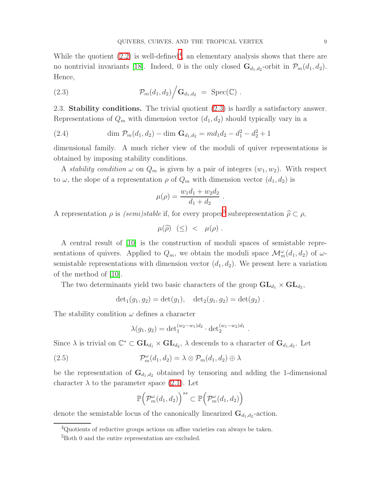While the quotient  $(2.2)$  is well-defined<sup>[4](#page-8-0)</sup>, an elementary analysis shows that there are no nontrivial invariants [\[18\]](#page-43-7). Indeed, 0 is the only closed  $\mathbf{G}_{d_1,d_2}$ -orbit in  $\mathcal{P}_m(d_1,d_2)$ . Hence,

<span id="page-8-1"></span>(2.3) 
$$
\mathcal{P}_m(d_1, d_2) / \mathbf{G}_{d_1, d_2} = \text{Spec}(\mathbb{C}) .
$$

<span id="page-8-4"></span>2.3. Stability conditions. The trivial quotient [\(2.3\)](#page-8-1) is hardly a satisfactory answer. Representations of  $Q_m$  with dimension vector  $(d_1, d_2)$  should typically vary in a

(2.4) 
$$
\dim \mathcal{P}_m(d_1, d_2) - \dim \mathbf{G}_{d_1, d_2} = md_1d_2 - d_1^2 - d_2^2 + 1
$$

dimensional family. A much richer view of the moduli of quiver representations is obtained by imposing stability conditions.

A *stability condition*  $\omega$  on  $Q_m$  is given by a pair of integers  $(w_1, w_2)$ . With respect to  $\omega$ , the slope of a representation  $\rho$  of  $Q_m$  with dimension vector  $(d_1, d_2)$  is

$$
\mu(\rho) = \frac{w_1 d_1 + w_2 d_2}{d_1 + d_2}
$$

.

.

A representation  $\rho$  is  $(semi) stable$  if, for every proper<sup>[5](#page-8-2)</sup> subrepresentation  $\hat{\rho} \subset \rho$ ,

$$
\mu(\widehat{\rho}) \ \ (\leq) \ < \ \mu(\rho) \ .
$$

A central result of [\[10\]](#page-43-6) is the construction of moduli spaces of semistable representations of quivers. Applied to  $Q_m$ , we obtain the moduli space  $\mathcal{M}_m^{\omega}(d_1, d_2)$  of  $\omega$ semistable representations with dimension vector  $(d_1, d_2)$ . We present here a variation of the method of [\[10\]](#page-43-6).

The two determinants yield two basic characters of the group  $\mathbf{GL}_{d_1} \times \mathbf{GL}_{d_2}$ ,

$$
\det_1(g_1, g_2) = \det(g_1), \quad \det_2(g_1, g_2) = \det(g_2).
$$

The stability condition  $\omega$  defines a character

<span id="page-8-3"></span>
$$
\lambda(g_1, g_2) = \det_1^{(w_2 - w_1)d_2} \cdot \det_2^{(w_1 - w_2)d_1}
$$

Since  $\lambda$  is trivial on  $\mathbb{C}^* \subset GL_{d_1} \times GL_{d_2}$ ,  $\lambda$  descends to a character of  $\mathbf{G}_{d_1,d_2}$ . Let

(2.5) 
$$
\mathcal{P}_m^{\omega}(d_1, d_2) = \lambda \otimes \mathcal{P}_m(d_1, d_2) \oplus \lambda
$$

be the representation of  $\mathbf{G}_{d_1,d_2}$  obtained by tensoring and adding the 1-dimensional character  $\lambda$  to the parameter space [\(2.1\)](#page-7-0). Let

$$
\mathbb{P}\Big(\mathcal{P}_m^\omega(d_1,d_2)\Big)^{ss}\subset \mathbb{P}\Big(\mathcal{P}_m^\omega(d_1,d_2)\Big)
$$

<span id="page-8-2"></span><span id="page-8-0"></span>denote the semistable locus of the canonically linearized  $\mathbf{G}_{d_1, d_2}$ -action.

<sup>&</sup>lt;sup>4</sup>Quotients of reductive groups actions on affine varieties can always be taken.

<sup>&</sup>lt;sup>5</sup>Both 0 and the entire representation are excluded.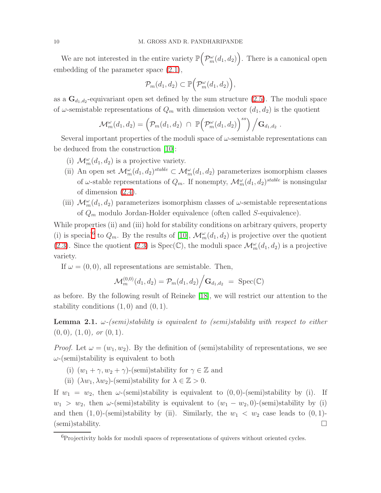We are not interested in the entire variety  $\mathbb{P}\left( \right)$  $\mathcal{P}_m^{\omega}(d_1, d_2)$ . There is a canonical open embedding of the parameter space [\(2.1\)](#page-7-0),

$$
\mathcal{P}_m(d_1, d_2) \subset \mathbb{P}\Big(\mathcal{P}_m^{\omega}(d_1, d_2)\Big),\,
$$

as a  $\mathbf{G}_{d_1, d_2}$ -equivariant open set defined by the sum structure [\(2.5\)](#page-8-3). The moduli space of  $\omega$ -semistable representations of  $Q_m$  with dimension vector  $(d_1, d_2)$  is the quotient

$$
\mathcal{M}_m^{\omega}(d_1, d_2) = \left(\mathcal{P}_m(d_1, d_2) \cap \mathbb{P}\Big(\mathcal{P}_m^{\omega}(d_1, d_2)\Big)^{ss}\right) / \mathbf{G}_{d_1, d_2}.
$$

Several important properties of the moduli space of  $\omega$ -semistable representations can be deduced from the construction [\[10\]](#page-43-6):

- (i)  $\mathcal{M}_m^{\omega}(d_1, d_2)$  is a projective variety.
- (ii) An open set  $\mathcal{M}_m^{\omega}(d_1, d_2)$ <sup>stable</sup>  $\subset \mathcal{M}_m^{\omega}(d_1, d_2)$  parameterizes isomorphism classes of  $\omega$ -stable representations of  $Q_m$ . If nonempty,  $\mathcal{M}_m^{\omega}(d_1, d_2)^{stable}$  is nonsingular of dimension [\(2.4\)](#page-8-4).
- (iii)  $\mathcal{M}_{m}^{\omega}(d_1, d_2)$  parameterizes isomorphism classes of  $\omega$ -semistable representations of  $Q_m$  modulo Jordan-Holder equivalence (often called S-equivalence).

While properties (ii) and (iii) hold for stability conditions on arbitrary quivers, property (i) is special<sup>[6](#page-9-0)</sup> to  $Q_m$ . By the results of [\[10\]](#page-43-6),  $\mathcal{M}_m^{\omega}(d_1, d_2)$  is projective over the quotient [\(2.3\)](#page-8-1). Since the quotient [\(2.3\)](#page-8-1) is  $Spec(\mathbb{C})$ , the moduli space  $\mathcal{M}_{m}^{\omega}(d_1, d_2)$  is a projective variety.

If  $\omega = (0, 0)$ , all representations are semistable. Then,

$$
\mathcal{M}_m^{(0,0)}(d_1, d_2) = \mathcal{P}_m(d_1, d_2) / \mathbf{G}_{d_1, d_2} = \text{Spec}(\mathbb{C})
$$

as before. By the following result of Reineke [\[18\]](#page-43-7), we will restrict our attention to the stability conditions  $(1, 0)$  and  $(0, 1)$ .

**Lemma 2.1.**  $\omega$ -(semi)stability is equivalent to (semi)stability with respect to either  $(0, 0), (1, 0), \text{ or } (0, 1).$ 

*Proof.* Let  $\omega = (w_1, w_2)$ . By the definition of (semi)stability of representations, we see  $\omega$ -(semi)stability is equivalent to both

- (i)  $(w_1 + \gamma, w_2 + \gamma)$ -(semi)stability for  $\gamma \in \mathbb{Z}$  and
- (ii)  $(\lambda w_1, \lambda w_2)$ -(semi)stability for  $\lambda \in \mathbb{Z} > 0$ .

If  $w_1 = w_2$ , then  $\omega$ -(semi)stability is equivalent to  $(0, 0)$ -(semi)stability by (i). If  $w_1 > w_2$ , then  $\omega$ -(semi)stability is equivalent to  $(w_1 - w_2, 0)$ -(semi)stability by (i) and then  $(1, 0)$ -(semi)stability by (ii). Similarly, the  $w_1 \, \langle w_2 \rangle$  case leads to  $(0, 1)$ -(semi)stability. □

<span id="page-9-0"></span><sup>&</sup>lt;sup>6</sup>Projectivity holds for moduli spaces of representations of quivers without oriented cycles.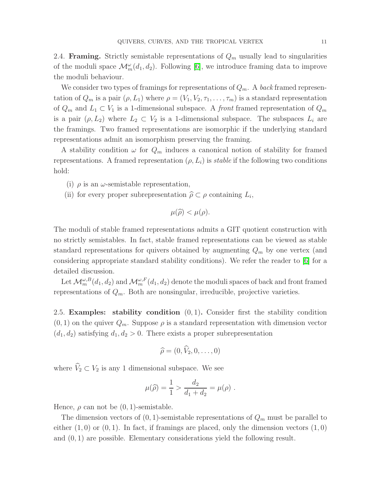<span id="page-10-0"></span>2.4. **Framing.** Strictly semistable representations of  $Q_m$  usually lead to singularities of the moduli space  $\mathcal{M}_m^{\omega}(d_1, d_2)$ . Following [\[6\]](#page-43-9), we introduce framing data to improve the moduli behaviour.

We consider two types of framings for representations of  $Q_m$ . A back framed representation of  $Q_m$  is a pair  $(\rho, L_1)$  where  $\rho = (V_1, V_2, \tau_1, \ldots, \tau_m)$  is a standard representation of  $Q_m$  and  $L_1 \subset V_1$  is a 1-dimensional subspace. A *front* framed representation of  $Q_m$ is a pair  $(\rho, L_2)$  where  $L_2 \subset V_2$  is a 1-dimensional subspace. The subspaces  $L_i$  are the framings. Two framed representations are isomorphic if the underlying standard representations admit an isomorphism preserving the framing.

A stability condition  $\omega$  for  $Q_m$  induces a canonical notion of stability for framed representations. A framed representation  $(\rho, L_i)$  is stable if the following two conditions hold:

- (i)  $\rho$  is an  $\omega$ -semistable representation,
- (ii) for every proper subrepresentation  $\hat{\rho} \subset \rho$  containing  $L_i$ ,

$$
\mu(\widehat{\rho}) < \mu(\rho).
$$

The moduli of stable framed representations admits a GIT quotient construction with no strictly semistables. In fact, stable framed representations can be viewed as stable standard representations for quivers obtained by augmenting  $Q_m$  by one vertex (and considering appropriate standard stability conditions). We refer the reader to [\[6\]](#page-43-9) for a detailed discussion.

Let  $\mathcal{M}^{\omega,B}_m(d_1,d_2)$  and  $\mathcal{M}^{\omega,F}_m(d_1,d_2)$  denote the moduli spaces of back and front framed representations of  $Q_m$ . Both are nonsingular, irreducible, projective varieties.

2.5. Examples: stability condition  $(0, 1)$ . Consider first the stability condition  $(0, 1)$  on the quiver  $Q_m$ . Suppose  $\rho$  is a standard representation with dimension vector  $(d_1, d_2)$  satisfying  $d_1, d_2 > 0$ . There exists a proper subrepresentation

$$
\widehat{\rho}=(0,\widehat{V}_2,0,\ldots,0)
$$

where  $\widehat{V}_2 \subset V_2$  is any 1 dimensional subspace. We see

$$
\mu(\widehat{\rho}) = \frac{1}{1} > \frac{d_2}{d_1 + d_2} = \mu(\rho) .
$$

Hence,  $\rho$  can not be  $(0, 1)$ -semistable.

The dimension vectors of  $(0, 1)$ -semistable representations of  $Q_m$  must be parallel to either  $(1,0)$  or  $(0,1)$ . In fact, if framings are placed, only the dimension vectors  $(1,0)$ and (0, 1) are possible. Elementary considerations yield the following result.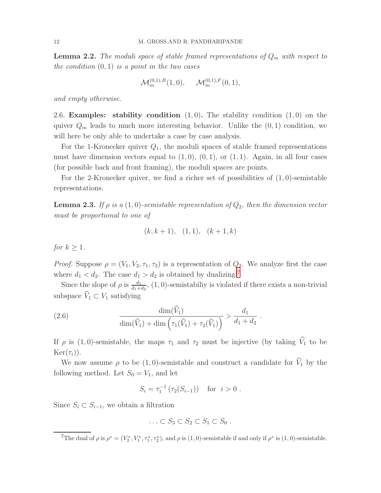**Lemma 2.2.** The moduli space of stable framed representations of  $Q_m$  with respect to the condition  $(0, 1)$  is a point in the two cases

$$
\mathcal{M}_m^{(0,1),B}(1,0), \quad \mathcal{M}_m^{(0,1),F}(0,1),
$$

and empty otherwise.

2.6. **Examples:** stability condition  $(1, 0)$ . The stability condition  $(1, 0)$  on the quiver  $Q_m$  leads to much more interesting behavior. Unlike the  $(0, 1)$  condition, we will here be only able to undertake a case by case analysis.

For the 1-Kronecker quiver  $Q_1$ , the moduli spaces of stable framed representations must have dimension vectors equal to  $(1, 0)$ ,  $(0, 1)$ , or  $(1, 1)$ . Again, in all four cases (for possible back and front framing), the moduli spaces are points.

<span id="page-11-2"></span>For the 2-Kronecker quiver, we find a richer set of possibilities of  $(1, 0)$ -semistable representations.

**Lemma 2.3.** If  $\rho$  is a (1,0)-semistable representation of  $Q_2$ , then the dimension vector must be proportional to one of

$$
(k, k + 1), (1, 1), (k + 1, k)
$$

for  $k \geq 1$ .

*Proof.* Suppose  $\rho = (V_1, V_2, \tau_1, \tau_2)$  is a representation of  $Q_2$ . We analyze first the case where  $d_1 < d_2$ . The case  $d_1 > d_2$  is obtained by dualizing.<sup>[7](#page-11-0)</sup>

Since the slope of  $\rho$  is  $\frac{d_1}{d_1+d_2}$ ,  $(1,0)$ -semistabiliy is violated if there exists a non-trivial subspace  $\widehat{V}_1 \subset V_1$  satisfying

.

<span id="page-11-1"></span>(2.6) 
$$
\frac{\dim(\hat{V}_1)}{\dim(\hat{V}_1) + \dim(\tau_1(\hat{V}_1) + \tau_2(\hat{V}_1))} > \frac{d_1}{d_1 + d_2}
$$

If  $\rho$  is (1,0)-semistable, the maps  $\tau_1$  and  $\tau_2$  must be injective (by taking  $\hat{V}_1$  to be  $\text{Ker}(\tau_i)$ ).

We now assume  $\rho$  to be (1,0)-semistable and construct a candidate for  $\hat{V}_1$  by the following method. Let  $S_0 = V_1$ , and let

$$
S_i = \tau_1^{-1} (\tau_2(S_{i-1})) \text{ for } i > 0.
$$

Since  $S_i \subset S_{i-1}$ , we obtain a filtration

$$
\ldots \subset S_3 \subset S_2 \subset S_1 \subset S_0 .
$$

<span id="page-11-0"></span><sup>7</sup>The dual of  $\rho$  is  $\rho^* = (V_2^*, V_1^*, \tau_1^*, \tau_2^*)$ , and  $\rho$  is (1,0)-semistable if and only if  $\rho^*$  is (1,0)-semistable.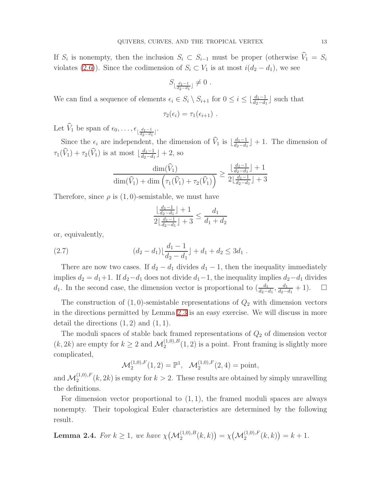If  $S_i$  is nonempty, then the inclusion  $S_i \subset S_{i-1}$  must be proper (otherwise  $V_1 = S_i$ violates [\(2.6\)](#page-11-1)). Since the codimension of  $S_i \subset V_1$  is at most  $i(d_2 - d_1)$ , we see

$$
S_{\lfloor \frac{d_1-1}{d_2-d_1} \rfloor} \neq 0
$$
 .

We can find a sequence of elements  $\epsilon_i \in S_i \setminus S_{i+1}$  for  $0 \leq i \leq \lfloor \frac{d_1-1}{d_2-d_1} \rfloor$  such that

$$
\tau_2(\epsilon_i)=\tau_1(\epsilon_{i+1})\ .
$$

Let  $V_1$  be span of  $\epsilon_0, \ldots, \epsilon_{\lfloor \frac{d_1-1}{d_2-d_1} \rfloor}$ .

Since the  $\epsilon_i$  are independent, the dimension of  $\hat{V}_1$  is  $\lfloor \frac{d_1-1}{d_2-d_1} \rfloor$  $\frac{d_1-1}{d_2-d_1}\rfloor+1$ . The dimension of  $\tau_1(\widehat{V}_1) + \tau_2(\widehat{V}_1)$  is at most  $\lfloor \frac{d_1-1}{d_2-d_1} \rfloor$  $\frac{d_1-1}{d_2-d_1}\rfloor+2$ , so

$$
\frac{\dim(\widehat{V}_1)}{\dim(\widehat{V}_1) + \dim\left(\tau_1(\widehat{V}_1) + \tau_2(\widehat{V}_1)\right)} \ge \frac{\lfloor \frac{d_1 - 1}{d_2 - d_1} \rfloor + 1}{2\lfloor \frac{d_1 - 1}{d_2 - d_1} \rfloor + 3}
$$

Therefore, since  $\rho$  is  $(1,0)$ -semistable, we must have

$$
\frac{\lfloor \frac{d_1 - 1}{d_2 - d_1} \rfloor + 1}{2 \lfloor \frac{d_1 - 1}{d_2 - d_1} \rfloor + 3} \le \frac{d_1}{d_1 + d_2}
$$

or, equivalently,

(2.7) 
$$
(d_2 - d_1) \lfloor \frac{d_1 - 1}{d_2 - d_1} \rfloor + d_1 + d_2 \le 3d_1.
$$

There are now two cases. If  $d_2 - d_1$  divides  $d_1 - 1$ , then the inequality immediately implies  $d_2 = d_1 + 1$ . If  $d_2 - d_1$  does not divide  $d_1 - 1$ , the inequality implies  $d_2 - d_1$  divides  $d_1$ . In the second case, the dimension vector is proportional to  $\left(\frac{d_1}{d_2 - 1}\right)$  $\frac{d_1}{d_2-d_1}, \frac{d_1}{d_2-}$  $\frac{d_1}{d_2-d_1}+1$ ).  $\Box$ 

The construction of  $(1,0)$ -semistable representations of  $Q_2$  with dimension vectors in the directions permitted by Lemma [2.3](#page-11-2) is an easy exercise. We will discuss in more detail the directions  $(1, 2)$  and  $(1, 1)$ .

The moduli spaces of stable back framed representations of  $Q_2$  of dimension vector  $(k, 2k)$  are empty for  $k \geq 2$  and  $\mathcal{M}_2^{(1,0),B}(1,2)$  is a point. Front framing is slightly more complicated,

$$
\mathcal{M}_2^{(1,0),F}(1,2) = \mathbb{P}^1
$$
,  $\mathcal{M}_2^{(1,0),F}(2,4) = \text{point}$ ,

and  $\mathcal{M}_2^{(1,0),F}(k,2k)$  is empty for  $k > 2$ . These results are obtained by simply unravelling the definitions.

For dimension vector proportional to  $(1, 1)$ , the framed moduli spaces are always nonempty. Their topological Euler characteristics are determined by the following result.

**Lemma 2.4.** For  $k \ge 1$ , we have  $\chi(M_2^{(1,0),B}(k,k)) = \chi(M_2^{(1,0),F}(k,k)) = k+1$ .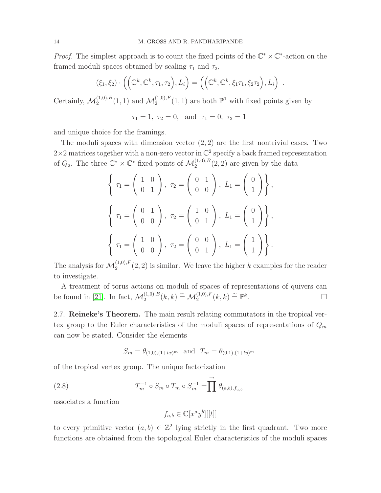*Proof.* The simplest approach is to count the fixed points of the  $\mathbb{C}^* \times \mathbb{C}^*$ -action on the framed moduli spaces obtained by scaling  $\tau_1$  and  $\tau_2$ ,

$$
(\xi_1,\xi_2)\cdot\left(\left(\mathbb{C}^k,\mathbb{C}^k,\tau_1,\tau_2\right),L_i\right)=\left(\left(\mathbb{C}^k,\mathbb{C}^k,\xi_1\tau_1,\xi_2\tau_2\right),L_i\right).
$$

Certainly,  $\mathcal{M}_2^{(1,0),B}(1,1)$  and  $\mathcal{M}_2^{(1,0),F}(1,1)$  are both  $\mathbb{P}^1$  with fixed points given by

$$
\tau_1 = 1, \ \tau_2 = 0, \ \text{and} \ \tau_1 = 0, \ \tau_2 = 1
$$

and unique choice for the framings.

The moduli spaces with dimension vector  $(2, 2)$  are the first nontrivial cases. Two  $2\times 2$  matrices together with a non-zero vector in  $\mathbb{C}^2$  specify a back framed representation of  $Q_2$ . The three  $\mathbb{C}^* \times \mathbb{C}^*$ -fixed points of  $\mathcal{M}_2^{(1,0),B}(2,2)$  are given by the data

$$
\left\{\n\begin{aligned}\n\tau_1 &= \begin{pmatrix}\n1 & 0 \\
0 & 1\n\end{pmatrix}, \ \tau_2 = \begin{pmatrix}\n0 & 1 \\
0 & 0\n\end{pmatrix}, \ L_1 = \begin{pmatrix}\n0 \\
1\n\end{pmatrix}\n\right\}, \\
\tau_2 &= \begin{pmatrix}\n1 & 0 \\
0 & 1\n\end{pmatrix}, \ L_2 = \begin{pmatrix}\n0 \\
1\n\end{pmatrix}, \\
\tau_3 &= \begin{pmatrix}\n0 & 1 \\
0 & 0\n\end{pmatrix}, \ \tau_4 = \begin{pmatrix}\n0 & 0 \\
0 & 1\n\end{pmatrix}, \ L_1 = \begin{pmatrix}\n1 \\
1\n\end{pmatrix}\n\right\}.\n\end{aligned}
$$

The analysis for  $\mathcal{M}_2^{(1,0),F}(2,2)$  is similar. We leave the higher k examples for the reader to investigate.

A treatment of torus actions on moduli of spaces of representations of quivers can be found in [\[21\]](#page-44-1). In fact,  $\mathcal{M}_2^{(1,0),B}(k,k) \cong \mathcal{M}_2^{(1,0),F}(k,k) \cong \mathbb{P}^k$ . — Процессиональные производствование и производствование и производствование и производствование и производст<br>В 1990 году в 1990 году в 1990 году в 1990 году в 1990 году в 1990 году в 1990 году в 1990 году в 1990 году в

<span id="page-13-0"></span>2.7. Reineke's Theorem. The main result relating commutators in the tropical vertex group to the Euler characteristics of the moduli spaces of representations of  $Q_m$ can now be stated. Consider the elements

$$
S_m = \theta_{(1,0),(1+tx)^m} \text{ and } T_m = \theta_{(0,1),(1+ty)^m}
$$

of the tropical vertex group. The unique factorization

(2.8) 
$$
T_m^{-1} \circ S_m \circ T_m \circ S_m^{-1} = \prod \rightarrow (a,b), f_{a,b}
$$

associates a function

$$
f_{a,b} \in \mathbb{C}[x^a y^b][[t]]
$$

to every primitive vector  $(a, b) \in \mathbb{Z}^2$  lying strictly in the first quadrant. Two more functions are obtained from the topological Euler characteristics of the moduli spaces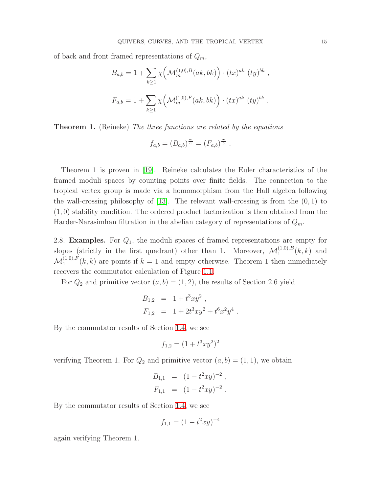of back and front framed representations of  $Q_m$ ,

$$
B_{a,b} = 1 + \sum_{k \ge 1} \chi \left( \mathcal{M}_m^{(1,0),B}(ak,bk) \right) \cdot (tx)^{ak} (ty)^{bk} ,
$$
  

$$
F_{a,b} = 1 + \sum_{k \ge 1} \chi \left( \mathcal{M}_m^{(1,0),F}(ak,bk) \right) \cdot (tx)^{ak} (ty)^{bk} .
$$

**Theorem 1.** (Reineke) The three functions are related by the equations

$$
f_{a,b} = (B_{a,b})^{\frac{m}{a}} = (F_{a,b})^{\frac{m}{b}}.
$$

Theorem 1 is proven in [\[19\]](#page-43-3). Reineke calculates the Euler characteristics of the framed moduli spaces by counting points over finite fields. The connection to the tropical vertex group is made via a homomorphism from the Hall algebra following the wall-crossing philosophy of  $[13]$ . The relevant wall-crossing is from the  $(0, 1)$  to (1, 0) stability condition. The ordered product factorization is then obtained from the Harder-Narasimhan filtration in the abelian category of representations of  $Q_m$ .

2.8. **Examples.** For  $Q_1$ , the moduli spaces of framed representations are empty for slopes (strictly in the first quadrant) other than 1. Moreover,  $\mathcal{M}_1^{(1,0),B}(k,k)$  and  $\mathcal{M}_1^{(1,0),F}(k,k)$  are points if  $k=1$  and empty otherwise. Theorem 1 then immediately recovers the commutator calculation of Figure [1.1.](#page-4-0)

For  $Q_2$  and primitive vector  $(a, b) = (1, 2)$ , the results of Section 2.6 yield

$$
B_{1,2} = 1 + t^3 xy^2 ,
$$
  
\n
$$
F_{1,2} = 1 + 2t^3 xy^2 + t^6 x^2 y^4 .
$$

By the commutator results of Section [1.4,](#page-3-3) we see

$$
f_{1,2} = (1 + t^3 xy^2)^2
$$

verifying Theorem 1. For  $Q_2$  and primitive vector  $(a, b) = (1, 1)$ , we obtain

$$
B_{1,1} = (1 - t^2 xy)^{-2},
$$
  
\n
$$
F_{1,1} = (1 - t^2 xy)^{-2}.
$$

By the commutator results of Section [1.4,](#page-3-3) we see

$$
f_{1,1} = (1-t^2xy)^{-4}\,
$$

again verifying Theorem 1.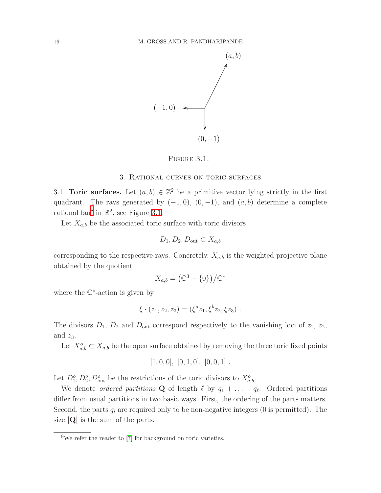

## <span id="page-15-2"></span>FIGURE 3.1.

#### 3. Rational curves on toric surfaces

<span id="page-15-3"></span><span id="page-15-0"></span>3.1. **Toric surfaces.** Let  $(a, b) \in \mathbb{Z}^2$  be a primitive vector lying strictly in the first quadrant. The rays generated by  $(-1, 0)$ ,  $(0, -1)$ , and  $(a, b)$  determine a complete rational fan<sup>[8](#page-15-1)</sup> in  $\mathbb{R}^2$ , see Figure [3.1.](#page-15-2)

Let  $X_{a,b}$  be the associated toric surface with toric divisors

$$
D_1, D_2, D_{\text{out}} \subset X_{a,b}
$$

corresponding to the respective rays. Concretely,  $X_{a,b}$  is the weighted projective plane obtained by the quotient

$$
X_{a,b} = \left(\mathbb{C}^3 - \{0\}\right) \big/ \mathbb{C}^*
$$

where the  $\mathbb{C}^*$ -action is given by

$$
\xi \cdot (z_1, z_2, z_3) = (\xi^a z_1, \xi^b z_2, \xi z_3) .
$$

The divisors  $D_1$ ,  $D_2$  and  $D_{\text{out}}$  correspond respectively to the vanishing loci of  $z_1$ ,  $z_2$ , and  $z_3$ .

Let  $X_{a,b}^o \subset X_{a,b}$  be the open surface obtained by removing the three toric fixed points

$$
[1,0,0], [0,1,0], [0,0,1].
$$

Let  $D_1^o, D_2^o, D_{\text{out}}^o$  be the restrictions of the toric divisors to  $X_{a,b}^o$ .

We denote *ordered partitions* **Q** of length  $\ell$  by  $q_1 + \ldots + q_\ell$ . Ordered partitions differ from usual partitions in two basic ways. First, the ordering of the parts matters. Second, the parts  $q_i$  are required only to be non-negative integers (0 is permitted). The size  $|Q|$  is the sum of the parts.

<span id="page-15-1"></span><sup>8</sup>We refer the reader to [\[7\]](#page-43-10) for background on toric varieties.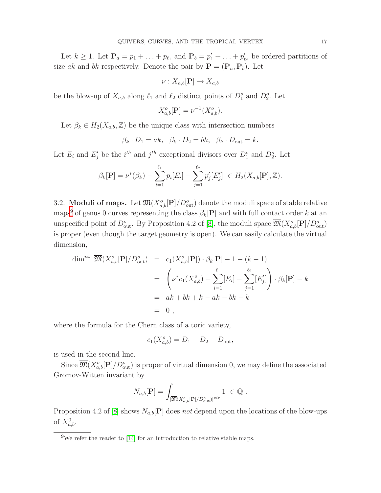Let  $k \geq 1$ . Let  $\mathbf{P}_a = p_1 + \ldots + p_{\ell_1}$  and  $\mathbf{P}_b = p'_1 + \ldots + p'_{\ell_2}$  be ordered partitions of size ak and bk respectively. Denote the pair by  $\mathbf{P} = (\mathbf{P}_a, \mathbf{P}_b)$ . Let

$$
\nu: X_{a,b}[\mathbf{P}] \to X_{a,b}
$$

be the blow-up of  $X_{a,b}$  along  $\ell_1$  and  $\ell_2$  distinct points of  $D_1^o$  and  $D_2^o$ . Let

$$
X_{a,b}^{o}[\mathbf{P}] = \nu^{-1}(X_{a,b}^{o}).
$$

Let  $\beta_k \in H_2(X_{a,b}, \mathbb{Z})$  be the unique class with intersection numbers

$$
\beta_k \cdot D_1 = ak, \ \ \beta_k \cdot D_2 = bk, \ \ \beta_k \cdot D_{\text{out}} = k.
$$

Let  $E_i$  and  $E'_j$  be the  $i^{th}$  and  $j^{th}$  exceptional divisors over  $D_1^o$  and  $D_2^o$ . Let

$$
\beta_k[\mathbf{P}] = \nu^*(\beta_k) - \sum_{i=1}^{\ell_1} p_i[E_i] - \sum_{j=1}^{\ell_2} p'_j[E'_j] \in H_2(X_{a,b}[\mathbf{P}], \mathbb{Z}).
$$

<span id="page-16-1"></span>3.2. **Moduli of maps.** Let  $\overline{\mathfrak{M}}(X^o_{a,b}[\mathbf{P}]/D^o_{\text{out}})$  denote the moduli space of stable relative maps<sup>[9](#page-16-0)</sup> of genus 0 curves representing the class  $\beta_k[P]$  and with full contact order k at an unspecified point of  $D_{\text{out}}^o$ . By Proposition 4.2 of [\[8\]](#page-43-4), the moduli space  $\overline{\mathfrak{M}}(X^o_{a,b}[\mathbf{P}]/D_{\text{out}}^o)$ is proper (even though the target geometry is open). We can easily calculate the virtual dimension,

$$
\dim^{vir} \overline{\mathfrak{M}}(X^o_{a,b}[\mathbf{P}]/D^o_{\text{out}}) = c_1(X^o_{a,b}[\mathbf{P}]) \cdot \beta_k[\mathbf{P}] - 1 - (k - 1)
$$
  

$$
= \left(\nu^* c_1(X^o_{a,b}) - \sum_{i=1}^{\ell_1} [E_i] - \sum_{j=1}^{\ell_2} [E'_j]\right) \cdot \beta_k[\mathbf{P}] - k
$$
  

$$
= ak + bk + k - ak - bk - k
$$
  

$$
= 0,
$$

where the formula for the Chern class of a toric variety,

$$
c_1(X_{a,b}^o) = D_1 + D_2 + D_{\text{out}},
$$

is used in the second line.

Since  $\overline{\mathfrak{M}}(X^o_{a,b}[\mathbf{P}]/D^o_{\text{out}})$  is proper of virtual dimension 0, we may define the associated Gromov-Witten invariant by

$$
N_{a,b}[\mathbf{P}] = \int_{[\overline{\mathfrak{M}}(X^o_{a,b}[\mathbf{P}]/D^o_{\text{out}})]^{vir}} 1 \ \in \mathbb{Q} \ .
$$

Proposition 4.2 of [\[8\]](#page-43-4) shows  $N_{a,b}[\mathbf{P}]$  does not depend upon the locations of the blow-ups of  $X_{a,b}^0$ .

<span id="page-16-0"></span> $9$ We refer the reader to [\[14\]](#page-43-11) for an introduction to relative stable maps.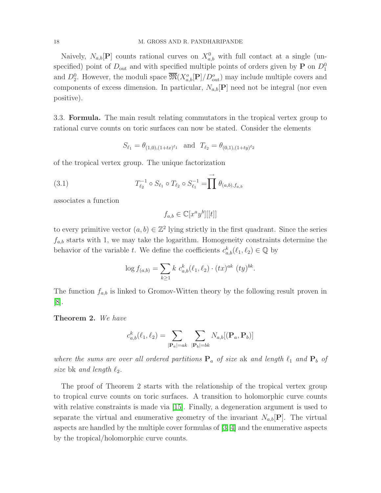Naively,  $N_{a,b}[\mathbf{P}]$  counts rational curves on  $X_{a,b}^0$  with full contact at a single (unspecified) point of  $D_{\text{out}}$  and with specified multiple points of orders given by **P** on  $D_1^0$ and  $D_2^0$ . However, the moduli space  $\overline{\mathfrak{M}}(X^o_{a,b}[\mathbf{P}]/D^o_{\text{out}})$  may include multiple covers and components of excess dimension. In particular,  $N_{a,b}[\mathbf{P}]$  need not be integral (nor even positive).

3.3. Formula. The main result relating commutators in the tropical vertex group to rational curve counts on toric surfaces can now be stated. Consider the elements

$$
S_{\ell_1} = \theta_{(1,0),(1+tx)^{\ell_1}} \quad \text{and} \quad T_{\ell_2} = \theta_{(0,1),(1+ty)^{\ell_2}}
$$

of the tropical vertex group. The unique factorization

<span id="page-17-0"></span>(3.1) 
$$
T_{\ell_2}^{-1} \circ S_{\ell_1} \circ T_{\ell_2} \circ S_{\ell_1}^{-1} = \prod^{\rightarrow} \theta_{(a,b),f_{a,b}}
$$

associates a function

$$
f_{a,b} \in \mathbb{C}[x^a y^b][[t]]
$$

to every primitive vector  $(a, b) \in \mathbb{Z}^2$  lying strictly in the first quadrant. Since the series  $f_{a,b}$  starts with 1, we may take the logarithm. Homogeneity constraints determine the behavior of the variable t. We define the coefficients  $c_{a,b}^k(\ell_1, \ell_2) \in \mathbb{Q}$  by

$$
\log f_{(a,b)} = \sum_{k \ge 1} k \ c_{a,b}^k(\ell_1, \ell_2) \cdot (tx)^{ak} \ (ty)^{bk}.
$$

The function  $f_{a,b}$  is linked to Gromov-Witten theory by the following result proven in [\[8\]](#page-43-4).

Theorem 2. We have

$$
c_{a,b}^k(\ell_1, \ell_2) = \sum_{|\mathbf{P}_a| = ak} \sum_{|\mathbf{P}_b| = bk} N_{a,b} [(\mathbf{P}_a, \mathbf{P}_b)]
$$

where the sums are over all ordered partitions  $P_a$  of size ak and length  $\ell_1$  and  $P_b$  of size bk and length  $\ell_2$ .

The proof of Theorem 2 starts with the relationship of the tropical vertex group to tropical curve counts on toric surfaces. A transition to holomorphic curve counts with relative constraints is made via [\[15\]](#page-43-12). Finally, a degeneration argument is used to separate the virtual and enumerative geometry of the invariant  $N_{a,b}[\mathbf{P}]$ . The virtual aspects are handled by the multiple cover formulas of [\[3,](#page-43-13) [4\]](#page-43-14) and the enumerative aspects by the tropical/holomorphic curve counts.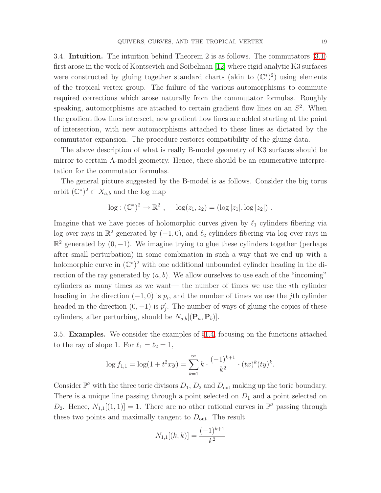3.4. Intuition. The intuition behind Theorem 2 is as follows. The commutators [\(3.1\)](#page-17-0) first arose in the work of Kontsevich and Soibelman [\[12\]](#page-43-1) where rigid analytic K3 surfaces were constructed by gluing together standard charts (akin to  $(\mathbb{C}^*)^2$ ) using elements of the tropical vertex group. The failure of the various automorphisms to commute required corrections which arose naturally from the commutator formulas. Roughly speaking, automorphisms are attached to certain gradient flow lines on an  $S<sup>2</sup>$ . When the gradient flow lines intersect, new gradient flow lines are added starting at the point of intersection, with new automorphisms attached to these lines as dictated by the commutator expansion. The procedure restores compatibility of the gluing data.

The above description of what is really B-model geometry of K3 surfaces should be mirror to certain A-model geometry. Hence, there should be an enumerative interpretation for the commutator formulas.

The general picture suggested by the B-model is as follows. Consider the big torus orbit  $(\mathbb{C}^*)^2 \subset X_{a,b}$  and the log map

$$
\log : (\mathbb{C}^*)^2 \to \mathbb{R}^2 , \quad \log(z_1, z_2) = (\log |z_1|, \log |z_2|) .
$$

Imagine that we have pieces of holomorphic curves given by  $\ell_1$  cylinders fibering via log over rays in  $\mathbb{R}^2$  generated by  $(-1, 0)$ , and  $\ell_2$  cylinders fibering via log over rays in  $\mathbb{R}^2$  generated by  $(0, -1)$ . We imagine trying to glue these cylinders together (perhaps after small perturbation) in some combination in such a way that we end up with a holomorphic curve in  $(\mathbb{C}^*)^2$  with one additional unbounded cylinder heading in the direction of the ray generated by  $(a, b)$ . We allow ourselves to use each of the "incoming" cylinders as many times as we want— the number of times we use the ith cylinder heading in the direction  $(-1,0)$  is  $p_i$ , and the number of times we use the jth cylinder headed in the direction  $(0, -1)$  is  $p'_j$ . The number of ways of gluing the copies of these cylinders, after perturbing, should be  $N_{a,b}[(\mathbf{P}_a, \mathbf{P}_b)]$ .

3.5. Examples. We consider the examples of §[1.4,](#page-3-3) focusing on the functions attached to the ray of slope 1. For  $\ell_1 = \ell_2 = 1$ ,

$$
\log f_{1,1} = \log(1 + t^2 xy) = \sum_{k=1}^{\infty} k \cdot \frac{(-1)^{k+1}}{k^2} \cdot (tx)^k (ty)^k.
$$

Consider  $\mathbb{P}^2$  with the three toric divisors  $D_1, D_2$  and  $D_{\text{out}}$  making up the toric boundary. There is a unique line passing through a point selected on  $D_1$  and a point selected on  $D_2$ . Hence,  $N_{1,1}[(1,1)] = 1$ . There are no other rational curves in  $\mathbb{P}^2$  passing through these two points and maximally tangent to  $D_{\text{out}}$ . The result

$$
N_{1,1}[(k,k)] = \frac{(-1)^{k+1}}{k^2}
$$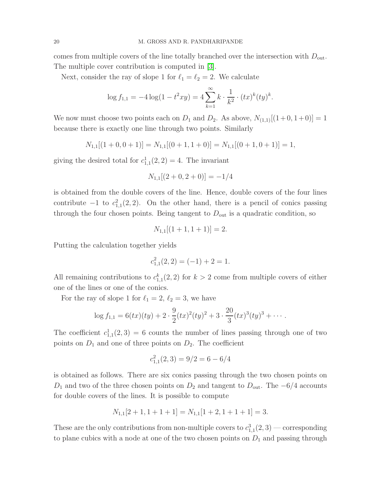comes from multiple covers of the line totally branched over the intersection with  $D_{\text{out}}$ . The multiple cover contribution is computed in [\[3\]](#page-43-13).

Next, consider the ray of slope 1 for  $\ell_1 = \ell_2 = 2$ . We calculate

$$
\log f_{1,1} = -4\log(1 - t^2 xy) = 4\sum_{k=1}^{\infty} k \cdot \frac{1}{k^2} \cdot (tx)^k (ty)^k.
$$

We now must choose two points each on  $D_1$  and  $D_2$ . As above,  $N_{(1,1)}[(1+0,1+0)] = 1$ because there is exactly one line through two points. Similarly

$$
N_{1,1}[(1+0,0+1)] = N_{1,1}[(0+1,1+0)] = N_{1,1}[(0+1,0+1)] = 1,
$$

giving the desired total for  $c_{1,1}^1(2,2) = 4$ . The invariant

$$
N_{1,1}[(2+0,2+0)]=-1/4
$$

is obtained from the double covers of the line. Hence, double covers of the four lines contribute  $-1$  to  $c_{1,1}^2(2,2)$ . On the other hand, there is a pencil of conics passing through the four chosen points. Being tangent to  $D_{\text{out}}$  is a quadratic condition, so

$$
N_{1,1}[(1+1,1+1)] = 2.
$$

Putting the calculation together yields

$$
c_{1,1}^2(2,2) = (-1) + 2 = 1.
$$

All remaining contributions to  $c_{1,1}^k(2,2)$  for  $k > 2$  come from multiple covers of either one of the lines or one of the conics.

For the ray of slope 1 for  $\ell_1 = 2, \ell_2 = 3$ , we have

$$
\log f_{1,1} = 6(tx)(ty) + 2 \cdot \frac{9}{2}(tx)^2(ty)^2 + 3 \cdot \frac{20}{3}(tx)^3(ty)^3 + \cdots
$$

The coefficient  $c_{1,1}^1(2,3) = 6$  counts the number of lines passing through one of two points on  $D_1$  and one of three points on  $D_2$ . The coefficient

$$
c_{1,1}^2(2,3) = 9/2 = 6 - 6/4
$$

is obtained as follows. There are six conics passing through the two chosen points on  $D_1$  and two of the three chosen points on  $D_2$  and tangent to  $D_{\text{out}}$ . The  $-6/4$  accounts for double covers of the lines. It is possible to compute

$$
N_{1,1}[2+1, 1+1+1] = N_{1,1}[1+2, 1+1+1] = 3.
$$

These are the only contributions from non-multiple covers to  $c_{1,1}^3(2,3)$  — corresponding to plane cubics with a node at one of the two chosen points on  $D_1$  and passing through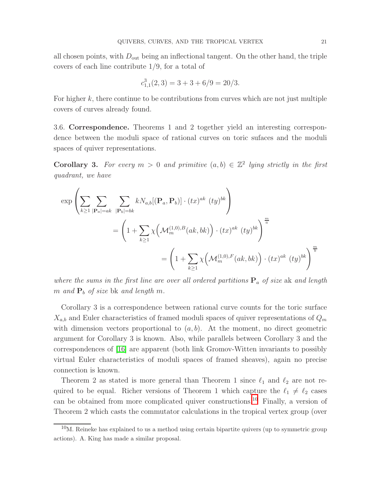all chosen points, with  $D_{\text{out}}$  being an inflectional tangent. On the other hand, the triple covers of each line contribute 1/9, for a total of

$$
c_{1,1}^3(2,3) = 3 + 3 + 6/9 = 20/3.
$$

For higher  $k$ , there continue to be contributions from curves which are not just multiple covers of curves already found.

3.6. Correspondence. Theorems 1 and 2 together yield an interesting correspondence between the moduli space of rational curves on toric sufaces and the moduli spaces of quiver representations.

**Corollary 3.** For every  $m > 0$  and primitive  $(a, b) \in \mathbb{Z}^2$  lying strictly in the first quadrant, we have

$$
\exp\left(\sum_{k\geq 1}\sum_{|\mathbf{P}_a|=ak}\sum_{|\mathbf{P}_b|=bk}kN_{a,b}[(\mathbf{P}_a,\mathbf{P}_b)]\cdot (tx)^{ak}(ty)^{bk}\right)
$$
  
= 
$$
\left(1+\sum_{k\geq 1}\chi\left(\mathcal{M}_m^{(1,0),B}(ak,bk)\right)\cdot (tx)^{ak}(ty)^{bk}\right)^{\frac{m}{a}}
$$
  
= 
$$
\left(1+\sum_{k\geq 1}\chi\left(\mathcal{M}_m^{(1,0),F}(ak,bk)\right)\cdot (tx)^{ak}(ty)^{bk}\right)^{\frac{m}{b}}
$$

where the sums in the first line are over all ordered partitions  $P_a$  of size ak and length m and  $P_b$  of size bk and length m.

Corollary 3 is a correspondence between rational curve counts for the toric surface  $X_{a,b}$  and Euler characteristics of framed moduli spaces of quiver representations of  $Q_m$ with dimension vectors proportional to  $(a, b)$ . At the moment, no direct geometric argument for Corollary 3 is known. Also, while parallels between Corollary 3 and the correspondences of [\[16\]](#page-43-15) are apparent (both link Gromov-Witten invariants to possibly virtual Euler characteristics of moduli spaces of framed sheaves), again no precise connection is known.

Theorem 2 as stated is more general than Theorem 1 since  $\ell_1$  and  $\ell_2$  are not required to be equal. Richer versions of Theorem 1 which capture the  $\ell_1 \neq \ell_2$  cases can be obtained from more complicated quiver constructions. [10](#page-20-0) Finally, a version of Theorem 2 which casts the commutator calculations in the tropical vertex group (over

<span id="page-20-0"></span> $10M$ . Reineke has explained to us a method using certain bipartite quivers (up to symmetric group actions). A. King has made a similar proposal.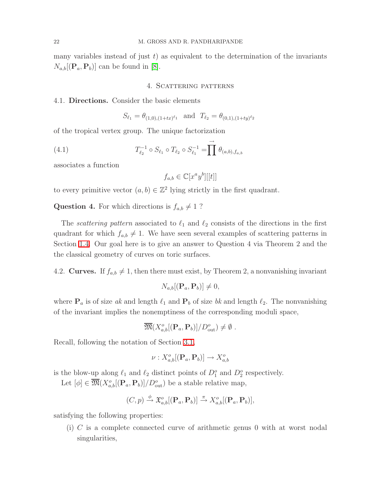<span id="page-21-0"></span>many variables instead of just  $t$ ) as equivalent to the determination of the invariants  $N_{a,b}[(\mathbf{P}_a, \mathbf{P}_b)]$  can be found in [\[8\]](#page-43-4).

#### 4. SCATTERING PATTERNS

### 4.1. Directions. Consider the basic elements

$$
S_{\ell_1} = \theta_{(1,0),(1+tx)^{\ell_1}} \text{ and } T_{\ell_2} = \theta_{(0,1),(1+ty)^{\ell_2}}
$$

<span id="page-21-1"></span>of the tropical vertex group. The unique factorization

(4.1) 
$$
T_{\ell_2}^{-1} \circ S_{\ell_1} \circ T_{\ell_2} \circ S_{\ell_1}^{-1} = \prod^{\rightarrow} \theta_{(a,b),f_{a,b}}
$$

associates a function

$$
f_{a,b} \in \mathbb{C}[x^a y^b][[t]]
$$

to every primitive vector  $(a, b) \in \mathbb{Z}^2$  lying strictly in the first quadrant.

**Question 4.** For which directions is  $f_{a,b} \neq 1$  ?

The *scattering pattern* associated to  $\ell_1$  and  $\ell_2$  consists of the directions in the first quadrant for which  $f_{a,b} \neq 1$ . We have seen several examples of scattering patterns in Section [1.4.](#page-3-3) Our goal here is to give an answer to Question 4 via Theorem 2 and the the classical geometry of curves on toric surfaces.

4.2. Curves. If  $f_{a,b} \neq 1$ , then there must exist, by Theorem 2, a nonvanishing invariant

$$
N_{a,b}[(\mathbf{P}_a, \mathbf{P}_b)] \neq 0,
$$

where  $P_a$  is of size ak and length  $\ell_1$  and  $P_b$  of size bk and length  $\ell_2$ . The nonvanishing of the invariant implies the nonemptiness of the corresponding moduli space,

$$
\overline{\mathfrak{M}}(X^o_{a,b}[(\mathbf{P}_a,\mathbf{P}_b)]/D^o_{\text{out}}) \neq \emptyset.
$$

Recall, following the notation of Section [3.1,](#page-15-2)

$$
\nu: X^o_{a,b}[({\bf P}_a, {\bf P}_b)] \to X^o_{a,b}
$$

is the blow-up along  $\ell_1$  and  $\ell_2$  distinct points of  $D_1^o$  and  $D_2^o$  respectively.

Let  $[\phi] \in \overline{\mathfrak{M}}(X^o_{a,b}[({\bf P}_a, {\bf P}_b)]/D^o_{\text{out}})$  be a stable relative map,

$$
(C,p) \stackrel{\phi}{\rightarrow} \mathfrak{X}_{a,b}^o[(\mathbf{P}_a,\mathbf{P}_b)] \stackrel{\pi}{\rightarrow} X_{a,b}^o[(\mathbf{P}_a,\mathbf{P}_b)],
$$

satisfying the following properties:

(i) C is a complete connected curve of arithmetic genus 0 with at worst nodal singularities,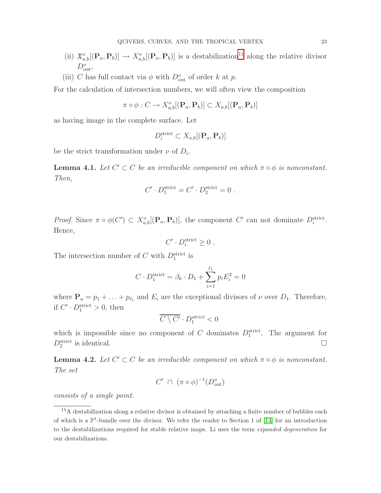- (ii)  $\mathfrak{X}_{a,b}^o[(\mathbf{P}_a, \mathbf{P}_b)] \to X_{a,b}^o[(\mathbf{P}_a, \mathbf{P}_b)]$  is a destabilization<sup>[11](#page-22-0)</sup> along the relative divisor  $D_{\text{out}}^o,$
- (iii) C has full contact via  $\phi$  with  $D_{\text{out}}^{\circ}$  of order k at p.

For the calculation of intersection numbers, we will often view the composition

$$
\pi \circ \phi : C \to X^o_{a,b}[({\bf P}_a, {\bf P}_b)] \subset X_{a,b}[({\bf P}_a, {\bf P}_b)]
$$

as having image in the complete surface. Let

$$
D_i^{\text{strict}} \subset X_{a,b}[(\mathbf{P}_a, \mathbf{P}_b)]
$$

<span id="page-22-1"></span>be the strict transformation under  $\nu$  of  $D_i$ .

**Lemma 4.1.** Let  $C' \subset C$  be an irreducible component on which  $\pi \circ \phi$  is nonconstant. Then,

$$
C' \cdot D_1^{\text{strict}} = C' \cdot D_2^{\text{strict}} = 0.
$$

Proof. Since  $\pi \circ \phi(C') \subset X^o_{a,b}[(\mathbf{P}_a, \mathbf{P}_b)]$ , the component  $C'$  can not dominate  $D_i^{\text{strict}}$ . Hence,

$$
C' \cdot D_i^{\text{strict}} \geq 0 \ .
$$

The intersection number of C with  $D_1^{\text{strict}}$  is

$$
C \cdot D_1^{\text{strict}} = \beta_k \cdot D_1 + \sum_{i=1}^{\ell_1} p_i E_i^2 = 0
$$

where  $P_a = p_1 + \ldots + p_{\ell_1}$  and  $E_i$  are the exceptional divisors of  $\nu$  over  $D_1$ . Therefore, if  $C' \cdot D_1^{\text{strict}} > 0$ , then

$$
\overline{C\setminus C'}\cdot D_1^{strict}<0
$$

which is impossible since no component of C dominates  $D_1^{\text{strict}}$ . The argument for  $D_2^{\text{strict}}$  is identical.

<span id="page-22-2"></span>**Lemma 4.2.** Let  $C' \subset C$  be an irreducible component on which  $\pi \circ \phi$  is nonconstant. The set

$$
C' \cap (\pi \circ \phi)^{-1}(D_{\text{out}}^o)
$$

consists of a single point.

<span id="page-22-0"></span> $\frac{11}{11}$ A destabilization along a relative divisor is obtained by attaching a finite number of bubbles each of which is a  $\mathbb{P}^1$ -bundle over the divisor. We refer the reader to Section 1 of [\[14\]](#page-43-11) for an introduction to the destabilizations required for stable relative maps. Li uses the term expanded degeneration for our destabilizations.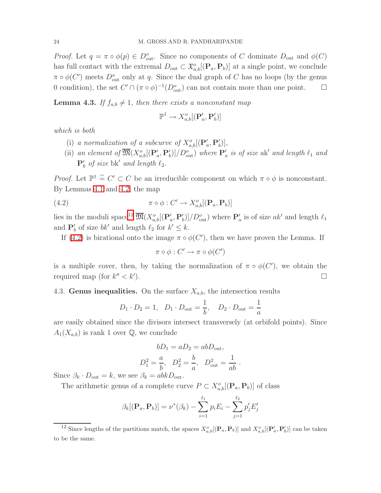Proof. Let  $q = \pi \circ \phi(p) \in D_{\text{out}}^o$ . Since no components of C dominate  $D_{\text{out}}$  and  $\phi(C)$ has full contact with the extremal  $D_{\text{out}} \subset \mathfrak{X}^o_{a,b}[(\mathbf{P}_a, \mathbf{P}_b)]$  at a single point, we conclude  $\pi \circ \phi(C')$  meets  $D_{\text{out}}^o$  only at q. Since the dual graph of C has no loops (by the genus 0 condition), the set  $C' \cap (\pi \circ \phi)^{-1}(D_{\text{out}}^o)$  can not contain more than one point.  $\Box$ 

<span id="page-23-2"></span>**Lemma 4.3.** If  $f_{a,b} \neq 1$ , then there exists a nonconstant map

$$
\mathbb{P}^1 \to X^o_{a,b}[(\mathbf{P}'_a, \mathbf{P}'_b)]
$$

which is both

- (i) a normalization of a subcurve of  $X^o_{a,b}[(\mathbf{P}'_a, \mathbf{P}'_b)],$
- (ii) an element of  $\overline{\mathfrak{M}}(X^o_{a,b}[(\mathbf{P}'_a, \mathbf{P}'_b)]/D^o_{\text{out}})$  where  $\mathbf{P}'_a$  is of size ak' and length  $\ell_1$  and  $\mathbf{P}'_b$  of size bk' and length  $\ell_2$ .

<span id="page-23-1"></span>*Proof.* Let  $\mathbb{P}^1 \cong C' \subset C$  be an irreducible component on which  $\pi \circ \phi$  is nonconstant. By Lemmas [4.1](#page-22-1) and [4.2,](#page-22-2) the map

(4.2) 
$$
\pi \circ \phi : C' \to X_{a,b}^o[(\mathbf{P}_a, \mathbf{P}_b)]
$$

lies in the moduli space<sup>[12](#page-23-0)</sup>  $\overline{\mathfrak{M}}(X^o_{a,b}[(\mathbf{P}'_a, \mathbf{P}'_b)]/D^o_{\text{out}})$  where  $\mathbf{P}'_a$  is of size  $ak'$  and length  $\ell_1$ and  $\mathbf{P}'_b$  of size  $bk'$  and length  $\ell_2$  for  $k' \leq k$ .

If [\(4.2\)](#page-23-1) is birational onto the image  $\pi \circ \phi(C')$ , then we have proven the Lemma. If

$$
\pi \circ \phi : C' \to \pi \circ \phi(C')
$$

is a multiple cover, then, by taking the normalization of  $\pi \circ \phi(C')$ , we obtain the required map (for  $k'' < k'$ ) ).  $\qquad \qquad \Box$ 

# <span id="page-23-3"></span>4.3. Genus inequalities. On the surface  $X_{a,b}$ , the intersection results

$$
D_1 \cdot D_2 = 1
$$
,  $D_1 \cdot D_{\text{out}} = \frac{1}{b}$ ,  $D_2 \cdot D_{\text{out}} = \frac{1}{a}$ 

are easily obtained since the divisors intersect transversely (at orbifold points). Since  $A_1(X_{a,b})$  is rank 1 over Q, we conclude

$$
bD_1 = aD_2 = abD_{\text{out}},
$$
  

$$
D_1^2 = \frac{a}{b}, \quad D_2^2 = \frac{b}{a}, \quad D_{\text{out}}^2 = \frac{1}{ab}.
$$

Since  $\beta_k \cdot D_{\text{out}} = k$ , we see  $\beta_k = abkD_{\text{out}}$ .

The arithmetic genus of a complete curve  $P \subset X^o_{a,b}[(\mathbf{P}_a, \mathbf{P}_b)]$  of class

$$
\beta_k[(\mathbf{P}_a, \mathbf{P}_b)] = \nu^*(\beta_k) - \sum_{i=1}^{\ell_1} p_i E_i - \sum_{j=1}^{\ell_2} p'_j E'_j
$$

<span id="page-23-0"></span><sup>&</sup>lt;sup>12</sup> Since lengths of the partitions match, the spaces  $X^o_{a,b}[(\mathbf{P}_a, \mathbf{P}_b)]$  and  $X^o_{a,b}[(\mathbf{P}'_a, \mathbf{P}'_b)]$  can be taken to be the same.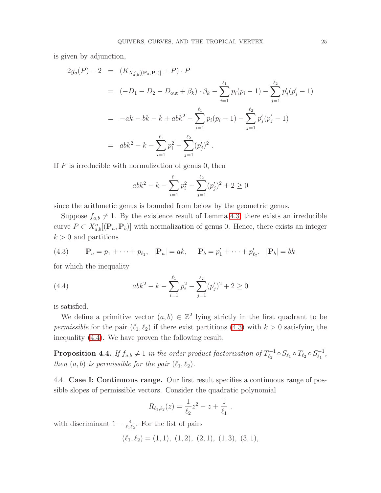is given by adjunction,

$$
2g_a(P) - 2 = (K_{X_{a,b}^o[(\mathbf{P}_a, \mathbf{P}_b)]} + P) \cdot P
$$
  
=  $(-D_1 - D_2 - D_{\text{out}} + \beta_k) \cdot \beta_k - \sum_{i=1}^{\ell_1} p_i(p_i - 1) - \sum_{j=1}^{\ell_2} p'_j(p'_j - 1)$   
=  $-ak - bk - k + abk^2 - \sum_{i=1}^{\ell_1} p_i(p_i - 1) - \sum_{j=1}^{\ell_2} p'_j(p'_j - 1)$   
=  $abk^2 - k - \sum_{i=1}^{\ell_1} p_i^2 - \sum_{j=1}^{\ell_2} (p'_j)^2$ .

If  $P$  is irreducible with normalization of genus 0, then

$$
abk^{2} - k - \sum_{i=1}^{\ell_{1}} p_{i}^{2} - \sum_{j=1}^{\ell_{2}} (p_{j}')^{2} + 2 \ge 0
$$

since the arithmetic genus is bounded from below by the geometric genus.

Suppose  $f_{a,b} \neq 1$ . By the existence result of Lemma [4.3,](#page-23-2) there exists an irreducible curve  $P \subset X^o_{a,b}[(\mathbf{P}_a, \mathbf{P}_b)]$  with normalization of genus 0. Hence, there exists an integer  $k > 0$  and partitions

<span id="page-24-0"></span>(4.3) 
$$
\mathbf{P}_a = p_1 + \dots + p_{\ell_1}, \quad |\mathbf{P}_a| = ak, \quad \mathbf{P}_b = p'_1 + \dots + p'_{\ell_2}, \quad |\mathbf{P}_b| = bk
$$

for which the inequality

<span id="page-24-1"></span>(4.4) 
$$
abk^{2} - k - \sum_{i=1}^{\ell_{1}} p_{i}^{2} - \sum_{j=1}^{\ell_{2}} (p_{j}')^{2} + 2 \ge 0
$$

is satisfied.

We define a primitive vector  $(a, b) \in \mathbb{Z}^2$  lying strictly in the first quadrant to be permissible for the pair  $(\ell_1, \ell_2)$  if there exist partitions [\(4.3\)](#page-24-0) with  $k > 0$  satisfying the inequality [\(4.4\)](#page-24-1). We have proven the following result.

**Proposition 4.4.** If  $f_{a,b} \neq 1$  in the order product factorization of  $T_{\ell_2}^{-1}$  $\ell_2^{n-1} \circ S_{\ell_1} \circ T_{\ell_2} \circ S_{\ell_1}^{-1}$  $\frac{1}{\ell_1}$  , then  $(a, b)$  is permissible for the pair  $(\ell_1, \ell_2)$ .

<span id="page-24-2"></span>4.4. Case I: Continuous range. Our first result specifies a continuous range of possible slopes of permissible vectors. Consider the quadratic polynomial

$$
R_{\ell_1,\ell_2}(z) = \frac{1}{\ell_2}z^2 - z + \frac{1}{\ell_1}.
$$

with discriminant  $1 - \frac{4}{\ell_1 k}$  $\frac{4}{\ell_1 \ell_2}$ . For the list of pairs

 $(\ell_1, \ell_2) = (1, 1), (1, 2), (2, 1), (1, 3), (3, 1),$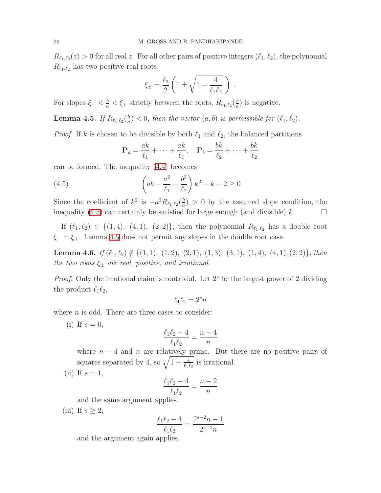$R_{\ell_1,\ell_2}(z) > 0$  for all real z. For all other pairs of positive integers  $(\ell_1, \ell_2)$ , the polynomial  $R_{\ell_1,\ell_2}$  has two positive real roots

$$
\xi_{\pm} = \frac{\ell_2}{2} \left( 1 \pm \sqrt{1 - \frac{4}{\ell_1 \ell_2}} \right)
$$

.

<span id="page-25-1"></span>For slopes  $\xi_{-} < \frac{b}{a} < \xi_{+}$  strictly between the roots,  $R_{\ell_1,\ell_2}(\frac{b}{a})$  $\frac{b}{a}$ ) is negative.

Lemma 4.5. If  $R_{\ell_1,\ell_2}(\frac{b}{a})$  $\frac{b}{a}$   $(l_1, l_2)$ , then the vector  $(a, b)$  is permissible for  $(l_1, l_2)$ .

*Proof.* If k is chosen to be divisible by both  $\ell_1$  and  $\ell_2$ , the balanced partitions

<span id="page-25-0"></span>
$$
\mathbf{P}_a = \frac{ak}{\ell_1} + \dots + \frac{ak}{\ell_1}, \quad \mathbf{P}_b = \frac{bk}{\ell_2} + \dots + \frac{bk}{\ell_2}
$$

can be formed. The inequality [\(4.4\)](#page-24-1) becomes

(4.5) 
$$
\left(ab - \frac{a^2}{\ell_1} - \frac{b^2}{\ell_2}\right)k^2 - k + 2 \ge 0
$$

Since the coefficient of  $k^2$  is  $-a^2 R_{\ell_1,\ell_2}(\frac{b}{a})$  $\frac{b}{a}$ ) > 0 by the assumed slope condition, the inequality [\(4.5\)](#page-25-0) can certainly be satisfied for large enough (and divisible) k.

If  $(\ell_1, \ell_2) \in \{(1, 4), (4, 1), (2, 2)\}\$ , then the polynomial  $R_{\ell_1, \ell_2}$  has a double root  $\xi = \xi_{+}$ . Lemma [4.5](#page-25-1) does not permit any slopes in the double root case.

**Lemma 4.6.** If  $(\ell_1, \ell_2) \notin \{(1, 1), (1, 2), (2, 1), (1, 3), (3, 1), (1, 4), (4, 1), (2, 2)\},\$ then the two roots  $\xi_{\pm}$  are real, positive, and irrational.

*Proof.* Only the irrational claim is nontrivial. Let  $2<sup>s</sup>$  be the largest power of 2 dividing the product  $\ell_1\ell_2$ ,

$$
\ell_1\ell_2=2^s n
$$

where  $n$  is odd. There are three cases to consider:

(i) If  $s=0$ ,

$$
\frac{\ell_1 \ell_2 - 4}{\ell_1 \ell_2} = \frac{n - 4}{n}
$$

where  $n-4$  and n are relatively prime. But there are no positive pairs of squares separated by 4, so  $\sqrt{1-\frac{4}{\ell_1 t}}$  $\frac{4}{\ell_1\ell_2}$  is irrational.

(ii) If  $s=1$ ,

$$
\frac{\ell_1\ell_2-4}{\ell_1\ell_2}=\frac{n-2}{n}
$$

and the same argument applies.

(iii) If  $s \geq 2$ ,

$$
\frac{\ell_1 \ell_2 - 4}{\ell_1 \ell_2} = \frac{2^{s-2}n - 1}{2^{s-2}n}
$$

and the argument again applies.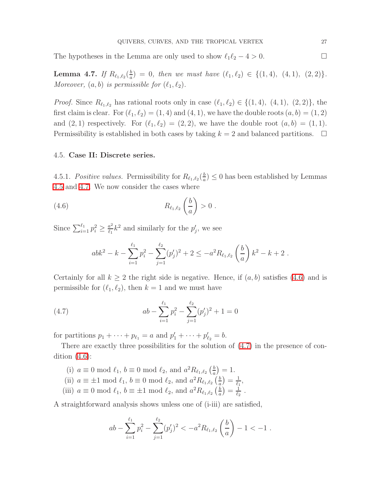<span id="page-26-0"></span>The hypotheses in the Lemma are only used to show  $\ell_1 \ell_2 - 4 > 0$ .

Lemma 4.7. If  $R_{\ell_1,\ell_2}(\frac{b}{a})$  $\frac{b}{a}$  = 0, then we must have  $(\ell_1, \ell_2) \in \{(1, 4), (4, 1), (2, 2)\}.$ Moreover,  $(a, b)$  is permissible for  $(\ell_1, \ell_2)$ .

*Proof.* Since  $R_{\ell_1,\ell_2}$  has rational roots only in case  $(\ell_1,\ell_2) \in \{(1,4), (4,1), (2,2)\}$ , the first claim is clear. For  $(\ell_1, \ell_2) = (1, 4)$  and  $(4, 1)$ , we have the double roots  $(a, b) = (1, 2)$ and  $(2, 1)$  respectively. For  $(\ell_1, \ell_2) = (2, 2)$ , we have the double root  $(a, b) = (1, 1)$ . Permissibility is established in both cases by taking  $k = 2$  and balanced partitions.  $\Box$ 

### <span id="page-26-3"></span>4.5. Case II: Discrete series.

4.5.1. Positive values. Permissibility for  $R_{\ell_1,\ell_2}(\frac{b}{a})$  $\frac{b}{a}$ )  $\leq 0$  has been established by Lemmas [4.5](#page-25-1) and [4.7.](#page-26-0) We now consider the cases where

$$
(4.6) \t\t R_{\ell_1,\ell_2}\left(\frac{b}{a}\right) > 0.
$$

Since  $\sum_{i=1}^{\ell_1} p_i^2 \geq \frac{a^2}{\ell_1}$  $\frac{a^2}{\ell_1}k^2$  and similarly for the  $p'_j$ , we see

<span id="page-26-1"></span>
$$
abk^{2} - k - \sum_{i=1}^{\ell_{1}} p_{i}^{2} - \sum_{j=1}^{\ell_{2}} (p'_{j})^{2} + 2 \leq -a^{2} R_{\ell_{1},\ell_{2}} \left(\frac{b}{a}\right) k^{2} - k + 2.
$$

Certainly for all  $k \geq 2$  the right side is negative. Hence, if  $(a, b)$  satisfies  $(4.6)$  and is permissible for  $(\ell_1, \ell_2)$ , then  $k = 1$  and we must have

<span id="page-26-2"></span>(4.7) 
$$
ab - \sum_{i=1}^{\ell_1} p_i^2 - \sum_{j=1}^{\ell_2} (p'_j)^2 + 1 = 0
$$

for partitions  $p_1 + \cdots + p_{\ell_1} = a$  and  $p'_1 + \cdots + p'_{\ell_2} = b$ .

There are exactly three possibilities for the solution of [\(4.7\)](#page-26-2) in the presence of condition  $(4.6)$ :

- (i)  $a \equiv 0 \mod \ell_1$ ,  $b \equiv 0 \mod \ell_2$ , and  $a^2 R_{\ell_1, \ell_2} \left(\frac{b}{a}\right)$  $\frac{b}{a}$ ) = 1.
- (ii)  $a \equiv \pm 1 \mod l_1$ ,  $b \equiv 0 \mod l_2$ , and  $a^2 R_{l_1,l_2}$   $\left(\frac{b}{a}\right)$  $\frac{b}{a}$ )  $=$   $\frac{1}{\ell_1}$  $\frac{1}{\ell_1}$
- (iii)  $a \equiv 0 \mod \ell_1$ ,  $b \equiv \pm 1 \mod \ell_2$ , and  $a^2 R_{\ell_1, \ell_2} \left(\frac{b}{a}\right)$  $\frac{b}{a}$  )  $= \frac{1}{\ell_2}$  $\frac{1}{\ell_2}$  .

A straightforward analysis shows unless one of (i-iii) are satisfied,

$$
ab - \sum_{i=1}^{\ell_1} p_i^2 - \sum_{j=1}^{\ell_2} (p'_j)^2 < -a^2 R_{\ell_1, \ell_2} \left(\frac{b}{a}\right) - 1 < -1.
$$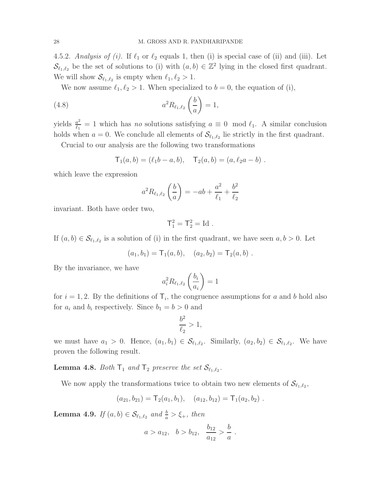4.5.2. Analysis of (i). If  $\ell_1$  or  $\ell_2$  equals 1, then (i) is special case of (ii) and (iii). Let  $\mathcal{S}_{\ell_1,\ell_2}$  be the set of solutions to (i) with  $(a,b) \in \mathbb{Z}^2$  lying in the closed first quadrant. We will show  $\mathcal{S}_{\ell_1,\ell_2}$  is empty when  $\ell_1,\ell_2>1$ .

We now assume  $\ell_1, \ell_2 > 1$ . When specialized to  $b = 0$ , the equation of (i),

(4.8) 
$$
a^2 R_{\ell_1,\ell_2} \left(\frac{b}{a}\right) = 1,
$$

yields  $\frac{a^2}{\ell_1}$  $\frac{a^2}{\ell_1} = 1$  which has no solutions satisfying  $a \equiv 0 \mod \ell_1$ . A similar conclusion holds when  $a = 0$ . We conclude all elements of  $\mathcal{S}_{\ell_1,\ell_2}$  lie strictly in the first quadrant.

Crucial to our analysis are the following two transformations

$$
T_1(a,b) = (\ell_1b - a, b), \quad T_2(a,b) = (a, \ell_2a - b).
$$

which leave the expression

$$
a^{2} R_{\ell_1, \ell_2} \left( \frac{b}{a} \right) = -ab + \frac{a^{2}}{\ell_1} + \frac{b^{2}}{\ell_2}
$$

invariant. Both have order two,

$$
\mathsf{T}_1^2 = \mathsf{T}_2^2 = \mathrm{Id}.
$$

If  $(a, b) \in \mathcal{S}_{\ell_1, \ell_2}$  is a solution of (i) in the first quadrant, we have seen  $a, b > 0$ . Let

$$
(a_1, b_1) = \mathsf{T}_1(a, b), \quad (a_2, b_2) = \mathsf{T}_2(a, b).
$$

By the invariance, we have

$$
a_i^2 R_{\ell_1, \ell_2} \left(\frac{b_i}{a_i}\right) = 1
$$

for  $i = 1, 2$ . By the definitions of  $\mathsf{T}_i$ , the congruence assumptions for a and b hold also for  $a_i$  and  $b_i$  respectively. Since  $b_1 = b > 0$  and

$$
\frac{b^2}{\ell_2} > 1,
$$

<span id="page-27-1"></span>we must have  $a_1 > 0$ . Hence,  $(a_1, b_1) \in \mathcal{S}_{\ell_1, \ell_2}$ . Similarly,  $(a_2, b_2) \in \mathcal{S}_{\ell_1, \ell_2}$ . We have proven the following result.

**Lemma 4.8.** Both  $T_1$  and  $T_2$  preserve the set  $\mathcal{S}_{\ell_1,\ell_2}$ .

We now apply the transformations twice to obtain two new elements of  $\mathcal{S}_{\ell_1,\ell_2}$ ,

$$
(a_{21}, b_{21}) = \mathsf{T}_2(a_1, b_1), \quad (a_{12}, b_{12}) = \mathsf{T}_1(a_2, b_2).
$$

<span id="page-27-0"></span>**Lemma 4.9.** If  $(a, b) \in \mathcal{S}_{\ell_1, \ell_2}$  and  $\frac{b}{a} > \xi_+$ , then

$$
a > a_{12}, b > b_{12}, \frac{b_{12}}{a_{12}} > \frac{b}{a}.
$$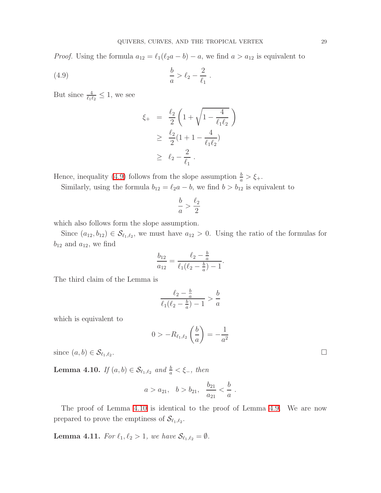.

*Proof.* Using the formula  $a_{12} = \ell_1(\ell_2a - b) - a$ , we find  $a > a_{12}$  is equivalent to

$$
\frac{b}{a} > \ell_2 - \frac{2}{\ell_1}
$$

But since  $\frac{4}{\ell_1 \ell_2} \leq 1$ , we see

<span id="page-28-0"></span>
$$
\xi_{+} = \frac{\ell_{2}}{2} \left( 1 + \sqrt{1 - \frac{4}{\ell_{1} \ell_{2}}} \right)
$$
  
\n
$$
\geq \frac{\ell_{2}}{2} (1 + 1 - \frac{4}{\ell_{1} \ell_{2}})
$$
  
\n
$$
\geq \ell_{2} - \frac{2}{\ell_{1}}.
$$

Hence, inequality [\(4.9\)](#page-28-0) follows from the slope assumption  $\frac{b}{a} > \xi_{+}$ .

Similarly, using the formula  $b_{12} = \ell_2 a - b$ , we find  $b > b_{12}$  is equivalent to

$$
\frac{b}{a} > \frac{\ell_2}{2}
$$

which also follows form the slope assumption.

Since  $(a_{12}, b_{12}) \in S_{\ell_1, \ell_2}$ , we must have  $a_{12} > 0$ . Using the ratio of the formulas for  $b_{12}$  and  $a_{12}$ , we find

$$
\frac{b_{12}}{a_{12}} = \frac{\ell_2 - \frac{b}{a}}{\ell_1(\ell_2 - \frac{b}{a}) - 1}.
$$

The third claim of the Lemma is

$$
\frac{\ell_2 - \frac{b}{a}}{\ell_1(\ell_2 - \frac{b}{a}) - 1} > \frac{b}{a}
$$

which is equivalent to

$$
0 > -R_{\ell_1, \ell_2} \left(\frac{b}{a}\right) = -\frac{1}{a^2}
$$

<span id="page-28-1"></span>since  $(a, b) \in \mathcal{S}_{\ell_1, \ell_2}$ . .

**Lemma 4.10.** If  $(a, b) \in S_{\ell_1, \ell_2}$  and  $\frac{b}{a} < \xi_-,$  then

$$
a > a_{21}, b > b_{21}, \frac{b_{21}}{a_{21}} < \frac{b}{a}
$$
.

<span id="page-28-2"></span>The proof of Lemma [4.10](#page-28-1) is identical to the proof of Lemma [4.9.](#page-27-0) We are now prepared to prove the emptiness of  $\mathcal{S}_{\ell_1,\ell_2}$ .

**Lemma 4.11.** For  $\ell_1, \ell_2 > 1$ , we have  $\mathcal{S}_{\ell_1, \ell_2} = \emptyset$ .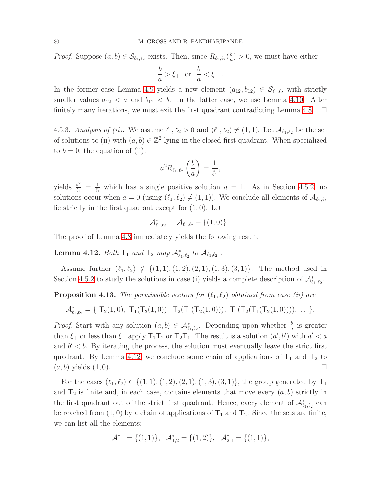*Proof.* Suppose  $(a, b) \in S_{\ell_1, \ell_2}$  exists. Then, since  $R_{\ell_1, \ell_2}(\frac{b}{a})$  $\frac{b}{a}$ ) > 0, we must have either

$$
\frac{b}{a} > \xi_+ \quad \text{or} \quad \frac{b}{a} < \xi_- \; .
$$

In the former case Lemma [4.9](#page-27-0) yields a new element  $(a_{12}, b_{12}) \in S_{\ell_1, \ell_2}$  with strictly smaller values  $a_{12} < a$  and  $b_{12} < b$ . In the latter case, we use Lemma [4.10.](#page-28-1) After finitely many iterations, we must exit the first quadrant contradicting Lemma [4.8.](#page-27-1)  $\Box$ 

4.5.3. Analysis of (ii). We assume  $\ell_1, \ell_2 > 0$  and  $(\ell_1, \ell_2) \neq (1, 1)$ . Let  $\mathcal{A}_{\ell_1, \ell_2}$  be the set of solutions to (ii) with  $(a, b) \in \mathbb{Z}^2$  lying in the closed first quadrant. When specialized to  $b = 0$ , the equation of (ii),

$$
a^2 R_{\ell_1, \ell_2} \left(\frac{b}{a}\right) = \frac{1}{\ell_1},
$$

yields  $\frac{a^2}{\ell_1}$  $\frac{a^2}{\ell_1} = \frac{1}{\ell_1}$  $\frac{1}{\ell_1}$  which has a single positive solution  $a = 1$ . As in Section [4.5.2,](#page-28-2) no solutions occur when  $a = 0$  (using  $(\ell_1, \ell_2) \neq (1, 1)$ ). We conclude all elements of  $\mathcal{A}_{\ell_1, \ell_2}$ lie strictly in the first quadrant except for (1, 0). Let

$$
\mathcal{A}_{\ell_1,\ell_2}^* = \mathcal{A}_{\ell_1,\ell_2} - \{(1,0)\}.
$$

<span id="page-29-0"></span>The proof of Lemma [4.8](#page-27-1) immediately yields the following result.

Lemma 4.12. Both  $T_1$  and  $T_2$  map  $\mathcal{A}^*_{\ell_1,\ell_2}$  to  $\mathcal{A}_{\ell_1,\ell_2}$ .

Assume further  $(\ell_1, \ell_2) \notin \{(1, 1), (1, 2), (2, 1), (1, 3), (3, 1)\}.$  The method used in Section [4.5.2](#page-28-2) to study the solutions in case (i) yields a complete description of  $\mathcal{A}^*_{\ell_1,\ell_2}$ .

**Proposition 4.13.** The permissible vectors for  $(\ell_1, \ell_2)$  obtained from case (ii) are

$$
\mathcal{A}_{\ell_1,\ell_2}^* = \{ T_2(1,0), T_1(T_2(1,0)), T_2(T_1(T_2(1,0))), T_1(T_2(T_1(T_2(1,0)))) , \ldots \}.
$$

*Proof.* Start with any solution  $(a, b) \in \mathcal{A}_{\ell_1, \ell_2}^*$ . Depending upon whether  $\frac{b}{a}$  is greater than  $\xi_+$  or less than  $\xi_-$  apply  $T_1T_2$  or  $T_2T_1$ . The result is a solution  $(a', b')$  with  $a' < a$ and  $b' < b$ . By iterating the process, the solution must eventually leave the strict first quadrant. By Lemma [4.12,](#page-29-0) we conclude some chain of applications of  $T_1$  and  $T_2$  to  $(a, b)$  yields  $(1, 0)$ .

For the cases  $(\ell_1, \ell_2) \in \{(1, 1), (1, 2), (2, 1), (1, 3), (3, 1)\}$ , the group generated by  $\mathsf{T}_1$ and  $\mathsf{T}_2$  is finite and, in each case, contains elements that move every  $(a, b)$  strictly in the first quadrant out of the strict first quadrant. Hence, every element of  $\mathcal{A}^*_{\ell_1,\ell_2}$  can be reached from (1,0) by a chain of applications of  $T_1$  and  $T_2$ . Since the sets are finite, we can list all the elements:

$$
\mathcal{A}_{1,1}^* = \{ (1,1) \}, \quad \mathcal{A}_{1,2}^* = \{ (1,2) \}, \quad \mathcal{A}_{2,1}^* = \{ (1,1) \},
$$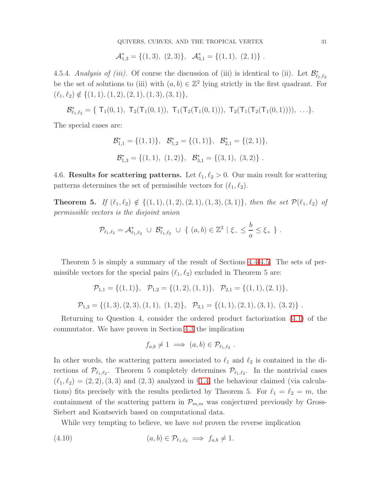QUIVERS, CURVES, AND THE TROPICAL VERTEX 31

$$
\mathcal{A}_{1,3}^* = \{ (1,3), (2,3) \}, \ \mathcal{A}_{3,1}^* = \{ (1,1), (2,1) \}.
$$

<span id="page-30-1"></span>4.5.4. Analysis of (iii). Of course the discussion of (iii) is identical to (ii). Let  $\mathcal{B}^*_{\ell_1,\ell_2}$ be the set of solutions to (iii) with  $(a, b) \in \mathbb{Z}^2$  lying strictly in the first quadrant. For  $(\ell_1, \ell_2) \notin \{(1, 1), (1, 2), (2, 1), (1, 3), (3, 1)\},\$ 

$$
\mathcal{B}^*_{\ell_1,\ell_2}=\{\ T_1(0,1),\ T_2(T_1(0,1)),\ T_1(T_2(T_1(0,1))),\ T_2(T_1(T_2(T_1(0,1)))),\ \ldots\}.
$$

The special cases are:

$$
\mathcal{B}_{1,1}^* = \{ (1,1) \}, \quad \mathcal{B}_{1,2}^* = \{ (1,1) \}, \quad \mathcal{B}_{2,1}^* = \{ (2,1) \},
$$
  

$$
\mathcal{B}_{1,3}^* = \{ (1,1), (1,2) \}, \quad \mathcal{B}_{3,1}^* = \{ (3,1), (3,2) \}.
$$

4.6. Results for scattering patterns. Let  $\ell_1, \ell_2 > 0$ . Our main result for scattering patterns determines the set of permissible vectors for  $(\ell_1, \ell_2)$ .

**Theorem 5.** If  $(\ell_1, \ell_2) \notin \{(1, 1), (1, 2), (2, 1), (1, 3), (3, 1)\}$ , then the set  $\mathcal{P}(\ell_1, \ell_2)$  of permissible vectors is the disjoint union

$$
\mathcal{P}_{\ell_1,\ell_2} = \mathcal{A}_{\ell_1,\ell_2}^* \; \cup \; \mathcal{B}_{\ell_1,\ell_2}^* \; \cup \; \{ \; (a,b) \in \mathbb{Z}^2 \; | \; \xi_- \leq \frac{b}{a} \leq \xi_+ \; \} \; .
$$

Theorem 5 is simply a summary of the result of Sections [4.4-](#page-24-2)[4.5.](#page-26-3) The sets of permissible vectors for the special pairs  $(\ell_1, \ell_2)$  excluded in Theorem 5 are:

$$
\mathcal{P}_{1,1} = \{(1,1)\}, \quad \mathcal{P}_{1,2} = \{(1,2), (1,1)\}, \quad \mathcal{P}_{2,1} = \{(1,1), (2,1)\},
$$
  

$$
\mathcal{P}_{1,3} = \{(1,3), (2,3), (1,1), (1,2)\}, \quad \mathcal{P}_{3,1} = \{(1,1), (2,1), (3,1), (3,2)\}.
$$

Returning to Question 4, consider the ordered product factorization [\(4.1\)](#page-21-1) of the commutator. We have proven in Section [4.3](#page-23-3) the implication

$$
f_{a,b} \neq 1 \implies (a,b) \in \mathcal{P}_{\ell_1,\ell_2} .
$$

In other words, the scattering pattern associated to  $\ell_1$  and  $\ell_2$  is contained in the directions of  $\mathcal{P}_{\ell_1,\ell_2}$ . Theorem 5 completely determines  $\mathcal{P}_{\ell_1,\ell_2}$ . In the nontrivial cases  $(\ell_1, \ell_2) = (2, 2), (3, 3)$  and  $(2, 3)$  analyzed in §[1.4,](#page-3-3) the behaviour claimed (via calculations) fits precisely with the results predicted by Theorem 5. For  $\ell_1 = \ell_2 = m$ , the containment of the scattering pattern in  $\mathcal{P}_{m,m}$  was conjectured previously by Gross-Siebert and Kontsevich based on computational data.

<span id="page-30-0"></span>While very tempting to believe, we have *not* proven the reverse implication

$$
(4.10) \qquad (a,b) \in \mathcal{P}_{\ell_1,\ell_2} \implies f_{a,b} \neq 1.
$$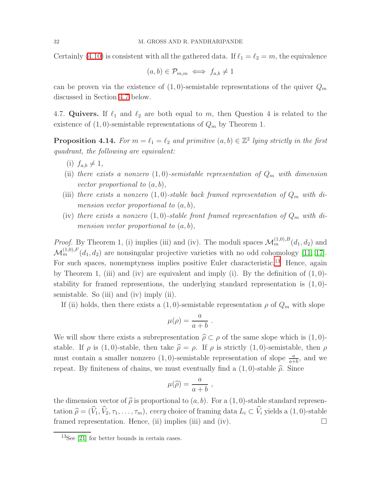Certainly [\(4.10\)](#page-30-0) is consistent with all the gathered data. If  $\ell_1 = \ell_2 = m$ , the equivalence

$$
(a,b)\in\mathcal{P}_{m,m}\iff f_{a,b}\neq 1
$$

<span id="page-31-0"></span>can be proven via the existence of  $(1,0)$ -semistable representations of the quiver  $Q_m$ discussed in Section [4.7](#page-31-0) below.

4.7. Quivers. If  $\ell_1$  and  $\ell_2$  are both equal to m, then Question 4 is related to the existence of  $(1,0)$ -semistable representations of  $Q_m$  by Theorem 1.

**Proposition 4.14.** For  $m = \ell_1 = \ell_2$  and primitive  $(a, b) \in \mathbb{Z}^2$  lying strictly in the first quadrant, the following are equivalent:

- (i)  $f_{a,b} \neq 1$ ,
- (ii) there exists a nonzero  $(1, 0)$ -semistable representation of  $Q_m$  with dimension vector proportional to  $(a, b)$ ,
- (iii) there exists a nonzero (1,0)-stable back framed representation of  $Q_m$  with dimension vector proportional to  $(a, b)$ ,
- (iv) there exists a nonzero (1,0)-stable front framed representation of  $Q_m$  with dimension vector proportional to  $(a, b)$ ,

*Proof.* By Theorem 1, (i) implies (iii) and (iv). The moduli spaces  $\mathcal{M}_m^{(1,0),B}(d_1, d_2)$  and  $\mathcal{M}_m^{(1,0),F}(d_1, d_2)$  are nonsingular projective varieties with no odd cohomology [\[11,](#page-43-16) [17\]](#page-43-17). For such spaces, nonemptyness implies positive Euler characteristic.<sup>[13](#page-31-1)</sup> Hence, again by Theorem 1, (iii) and (iv) are equivalent and imply (i). By the definition of  $(1, 0)$ stability for framed representions, the underlying standard representation is  $(1, 0)$ semistable. So (iii) and (iv) imply (ii).

If (ii) holds, then there exists a  $(1,0)$ -semistable representation  $\rho$  of  $Q_m$  with slope

$$
\mu(\rho) = \frac{a}{a+b} \; .
$$

We will show there exists a subrepresentation  $\hat{\rho} \subset \rho$  of the same slope which is (1,0)stable. If  $\rho$  is (1,0)-stable, then take  $\hat{\rho} = \rho$ . If  $\rho$  is strictly (1,0)-semistable, then  $\rho$ must contain a smaller nonzero  $(1,0)$ -semistable representation of slope  $\frac{a}{a+b}$ , and we repeat. By finiteness of chains, we must eventually find a  $(1,0)$ -stable  $\hat{\rho}$ . Since

$$
\mu(\widehat{\rho}) = \frac{a}{a+b} \ ,
$$

the dimension vector of  $\hat{\rho}$  is proportional to  $(a, b)$ . For a  $(1, 0)$ -stable standard representation  $\hat{\rho} = (\hat{V}_1, \hat{V}_2, \tau_1, \dots, \tau_m)$ , every choice of framing data  $L_i \subset \hat{V}_i$  yields a (1, 0)-stable framed representation. Hence, (ii) implies (iii) and (iv). framed representation. Hence, (ii) implies (iii) and (iv).

<span id="page-31-1"></span> $13$ See [\[21\]](#page-44-1) for better bounds in certain cases.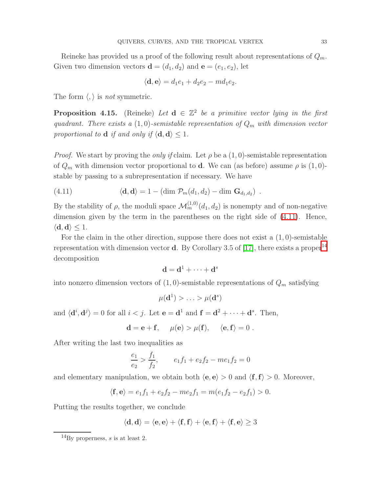Reineke has provided us a proof of the following result about representations of  $Q_m$ . Given two dimension vectors  $\mathbf{d} = (d_1, d_2)$  and  $\mathbf{e} = (e_1, e_2)$ , let

$$
\langle \mathbf{d}, \mathbf{e} \rangle = d_1 e_1 + d_2 e_2 - m d_1 e_2.
$$

The form  $\langle , \rangle$  is *not* symmetric.

**Proposition 4.15.** (Reineke) Let  $d \in \mathbb{Z}^2$  be a primitive vector lying in the first quadrant. There exists a  $(1,0)$ -semistable representation of  $Q_m$  with dimension vector proportional to **d** if and only if  $\langle \mathbf{d}, \mathbf{d} \rangle \leq 1$ .

*Proof.* We start by proving the *only if* claim. Let  $\rho$  be a  $(1, 0)$ -semistable representation of  $Q_m$  with dimension vector proportional to **d**. We can (as before) assume  $\rho$  is  $(1, 0)$ stable by passing to a subrepresentation if necessary. We have

<span id="page-32-0"></span>(4.11) 
$$
\langle \mathbf{d}, \mathbf{d} \rangle = 1 - (\dim \mathcal{P}_m(d_1, d_2) - \dim \mathbf{G}_{d_1, d_2}) \ .
$$

By the stability of  $\rho$ , the moduli space  $\mathcal{M}_m^{(1,0)}(d_1, d_2)$  is nonempty and of non-negative dimension given by the term in the parentheses on the right side of  $(4.11)$ . Hence,  $\langle \mathbf{d}, \mathbf{d} \rangle \leq 1.$ 

For the claim in the other direction, suppose there does not exist a  $(1,0)$ -semistable representation with dimension vector **d**. By Corollary 3.5 of [\[17\]](#page-43-17), there exists a proper<sup>[14](#page-32-1)</sup> decomposition

$$
\mathbf{d} = \mathbf{d}^1 + \cdots + \mathbf{d}^s
$$

into nonzero dimension vectors of  $(1,0)$ -semistable representations of  $Q_m$  satisfying

$$
\mu(\mathbf{d}^1) > \ldots > \mu(\mathbf{d}^s)
$$

and  $\langle \mathbf{d}^i, \mathbf{d}^j \rangle = 0$  for all  $i < j$ . Let  $\mathbf{e} = \mathbf{d}^1$  and  $\mathbf{f} = \mathbf{d}^2 + \cdots + \mathbf{d}^s$ . Then,

$$
\mathbf{d} = \mathbf{e} + \mathbf{f}, \quad \mu(\mathbf{e}) > \mu(\mathbf{f}), \quad \langle \mathbf{e}, \mathbf{f} \rangle = 0.
$$

After writing the last two inequalities as

$$
\frac{e_1}{e_2} > \frac{f_1}{f_2}, \qquad e_1 f_1 + e_2 f_2 - m e_1 f_2 = 0
$$

and elementary manipulation, we obtain both  $\langle e, e \rangle > 0$  and  $\langle f, f \rangle > 0$ . Moreover,

$$
\langle \mathbf{f}, \mathbf{e} \rangle = e_1 f_1 + e_2 f_2 - me_2 f_1 = m(e_1 f_2 - e_2 f_1) > 0.
$$

Putting the results together, we conclude

$$
\langle \mathbf{d}, \mathbf{d} \rangle = \langle \mathbf{e}, \mathbf{e} \rangle + \langle \mathbf{f}, \mathbf{f} \rangle + \langle \mathbf{e}, \mathbf{f} \rangle + \langle \mathbf{f}, \mathbf{e} \rangle \ge 3
$$

<span id="page-32-1"></span> $^{14}$ By properness, s is at least 2.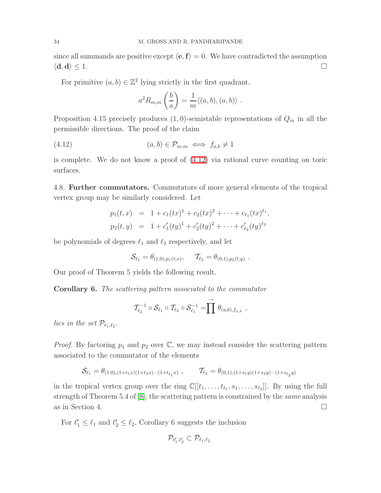since all summands are positive except  $\langle e, f \rangle = 0$ . We have contradicted the assumption  $\langle \mathbf{d}, \mathbf{d} \rangle \leq 1.$ 

For primitive  $(a, b) \in \mathbb{Z}^2$  lying strictly in the first quadrant,

$$
a^{2} R_{m,m} \left( \frac{b}{a} \right) = \frac{1}{m} \langle (a, b), (a, b) \rangle.
$$

Proposition 4.15 precisely produces  $(1,0)$ -semistable representations of  $Q_m$  in all the permissible directions. The proof of the claim

<span id="page-33-0"></span>
$$
(4.12) \t\t (a,b) \in \mathcal{P}_{m,m} \iff f_{a,b} \neq 1
$$

is complete. We do not know a proof of [\(4.12\)](#page-33-0) via rational curve counting on toric surfaces.

4.8. Further commutators. Commutators of more general elements of the tropical vertex group may be similarly considered. Let

$$
p_1(t,x) = 1 + c_1(tx)^1 + c_2(tx)^2 + \cdots + c_{\ell_1}(tx)^{\ell_1},
$$
  
\n
$$
p_2(t,y) = 1 + c'_1(ty)^1 + c'_2(ty)^2 + \cdots + c'_{\ell_2}(ty)^{\ell_2}
$$

be polynomials of degrees  $\ell_1$  and  $\ell_2$  respectively, and let

$$
\mathcal{S}_{\ell_1} = \theta_{(1,0),p_1(t,x)}, \quad \mathcal{T}_{\ell_2} = \theta_{(0,1),p_2(t,y)}.
$$

Our proof of Theorem 5 yields the following result.

Corollary 6. The scattering pattern associated to the commutator

$$
\mathcal{T}_{\ell_2}^{-1} \circ \mathcal{S}_{\ell_1} \circ \mathcal{T}_{\ell_2} \circ \mathcal{S}_{\ell_1}^{-1} = \prod \stackrel{\rightarrow}{\prod} \theta_{(a,b),f_{a,b}} ,
$$

lies in the set  $\mathcal{P}_{\ell_1,\ell_2}$ .

*Proof.* By factoring  $p_1$  and  $p_2$  over  $\mathbb{C}$ , we may instead consider the scattering pattern associated to the commutator of the elements

$$
\mathcal{S}_{\ell_1} = \theta_{(1,0),(1+t_1x)(1+t_2x)\cdots(1+t_{\ell_1}x)}, \qquad \mathcal{T}_{\ell_2} = \theta_{(0,1),(1+s_1y)(1+s_2y)\cdots(1+s_{\ell_2}y)}
$$

in the tropical vertex group over the ring  $\mathbb{C}[[t_1,\ldots,t_{\ell_1},s_1,\ldots,s_{\ell_2}]]$ . By using the full strength of Theorem 5.4 of [\[8\]](#page-43-4), the scattering pattern is constrained by the same analysis as in Section 4.  $\Box$ 

For  $\ell'_1 \leq \ell_1$  and  $\ell'_2 \leq \ell_2$ , Corollary 6 suggests the inclusion

$$
\mathcal{P}_{\ell_1',\ell_2'}\subset \mathcal{P}_{\ell_1,\ell_2}
$$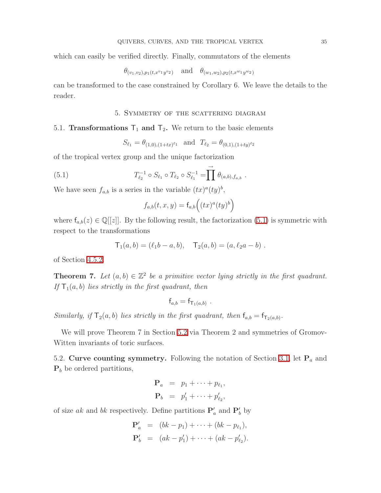which can easily be verified directly. Finally, commutators of the elements

$$
\theta_{(v_1, v_2), p_1(t, x^{v_1} y^{v_2})}
$$
 and  $\theta_{(w_1, w_2), p_2(t, x^{w_1} y^{w_2})}$ 

<span id="page-34-0"></span>can be transformed to the case constrained by Corollary 6. We leave the details to the reader.

## 5. Symmetry of the scattering diagram

# 5.1. **Transformations**  $T_1$  and  $T_2$ . We return to the basic elements

$$
S_{\ell_1} = \theta_{(1,0),(1+tx)^{\ell_1}} \quad \text{and} \quad T_{\ell_2} = \theta_{(0,1),(1+ty)^{\ell_2}}
$$

<span id="page-34-1"></span>of the tropical vertex group and the unique factorization

(5.1) 
$$
T_{\ell_2}^{-1} \circ S_{\ell_1} \circ T_{\ell_2} \circ S_{\ell_1}^{-1} = \prod \rightarrow{\mathcal{O}} (\mathfrak{a}, \mathfrak{b}), f_{a, \mathfrak{b}}.
$$

We have seen  $f_{a,b}$  is a series in the variable  $(tx)^{a}(ty)^{b}$ ,

$$
f_{a,b}(t,x,y) = f_{a,b}\left((tx)^a(ty)^b\right)
$$

where  $f_{a,b}(z) \in \mathbb{Q}[[z]]$ . By the following result, the factorization [\(5.1\)](#page-34-1) is symmetric with respect to the transformations

$$
T_1(a,b) = (\ell_1b - a, b), \quad T_2(a,b) = (a, \ell_2a - b).
$$

of Section [4.5.2.](#page-28-2)

**Theorem 7.** Let  $(a, b) \in \mathbb{Z}^2$  be a primitive vector lying strictly in the first quadrant. If  $T_1(a, b)$  lies strictly in the first quadrant, then

$$
\mathsf{f}_{a,b} = \mathsf{f}_{\mathsf{T}_1(a,b)} \ .
$$

Similarly, if  $T_2(a, b)$  lies strictly in the first quadrant, then  $f_{a,b} = f_{T_2(a,b)}$ .

<span id="page-34-2"></span>We will prove Theorem 7 in Section [5.2](#page-34-2) via Theorem 2 and symmetries of Gromov-Witten invariants of toric surfaces.

5.2. Curve counting symmetry. Following the notation of Section [3.1,](#page-15-3) let  $P_a$  and  $P_b$  be ordered partitions,

$$
\mathbf{P}_a = p_1 + \cdots + p_{\ell_1},
$$
  

$$
\mathbf{P}_b = p'_1 + \cdots + p'_{\ell_2},
$$

of size ak and bk respectively. Define partitions  $\mathbf{P}'_a$  and  $\mathbf{P}'_b$  by

$$
\mathbf{P}'_a = (bk - p_1) + \cdots + (bk - p_{\ell_1}),
$$
  

$$
\mathbf{P}'_b = (ak - p'_1) + \cdots + (ak - p'_{\ell_2}).
$$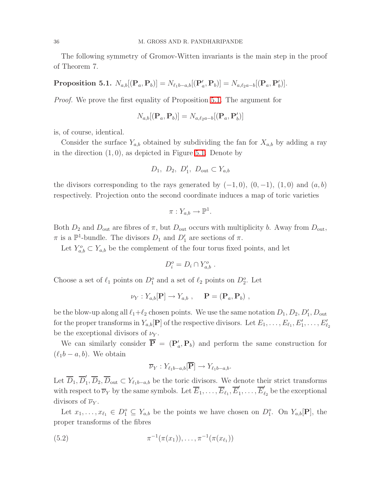<span id="page-35-0"></span>The following symmetry of Gromov-Witten invariants is the main step in the proof of Theorem 7.

 $\textbf{Proposition 5.1.} \,\, N_{a,b}[ (\mathbf{P}_a, \mathbf{P}_b)] = N_{\ell_1 b - a,b}[ (\mathbf{P}'_a, \mathbf{P}_b)] = N_{a,\ell_2 a - b}[ (\mathbf{P}_a, \mathbf{P}'_b)].$ 

Proof. We prove the first equality of Proposition [5.1.](#page-35-0) The argument for

$$
N_{a,b}[(\mathbf{P}_a, \mathbf{P}_b)] = N_{a,\ell_2 a - b}[(\mathbf{P}_a, \mathbf{P}_b']
$$

is, of course, identical.

Consider the surface  $Y_{a,b}$  obtained by subdividing the fan for  $X_{a,b}$  by adding a ray in the direction  $(1, 0)$ , as depicted in Figure [5.1.](#page-36-0) Denote by

$$
D_1, D_2, D'_1, D_{\text{out}} \subset Y_{a,b}
$$

the divisors corresponding to the rays generated by  $(-1, 0)$ ,  $(0, -1)$ ,  $(1, 0)$  and  $(a, b)$ respectively. Projection onto the second coordinate induces a map of toric varieties

$$
\pi: Y_{a,b} \to \mathbb{P}^1.
$$

Both  $D_2$  and  $D_{\text{out}}$  are fibres of  $\pi$ , but  $D_{\text{out}}$  occurs with multiplicity b. Away from  $D_{\text{out}}$ ,  $\pi$  is a  $\mathbb{P}^1$ -bundle. The divisors  $D_1$  and  $D'_1$  are sections of  $\pi$ .

Let  $Y_{a,b}^o \subset Y_{a,b}$  be the complement of the four torus fixed points, and let

$$
D_i^o = D_i \cap Y_{a,b}^o.
$$

Choose a set of  $\ell_1$  points on  $D_1^o$  and a set of  $\ell_2$  points on  $D_2^o$ . Let

$$
\nu_Y: Y_{a,b}[\mathbf{P}] \to Y_{a,b} , \quad \mathbf{P} = (\mathbf{P}_a, \mathbf{P}_b) ,
$$

be the blow-up along all  $\ell_1 + \ell_2$  chosen points. We use the same notation  $D_1, D_2, D'_1, D_{\text{out}}$ for the proper transforms in  $Y_{a,b}[\mathbf{P}]$  of the respective divisors. Let  $E_1, \ldots, E_{\ell_1}, E'_1, \ldots, E'_{\ell_2}$ be the exceptional divisors of  $\nu_Y$ .

We can similarly consider  $\overline{P} = (P_a', P_b)$  and perform the same construction for  $(\ell_1 b - a, b)$ . We obtain

$$
\overline{\nu}_Y: Y_{\ell_1b-a,b}[\overline{\mathbf{P}}] \to Y_{\ell_1b-a,b}.
$$

Let  $\overline{D}_1, \overline{D}'_1$  $Y_1, D_2, D_{\text{out}} \subset Y_{\ell_1 b - a, b}$  be the toric divisors. We denote their strict transforms with respect to  $\overline{\nu}_Y$  by the same symbols. Let  $\overline{E}_1, \ldots, \overline{E}_{\ell_1}, \overline{E}'_1$  $\frac{1}{1},\ldots,\overline{E}_{\ell}'$  $\ell_2$  be the exceptional divisors of  $\overline{\nu}_Y$ .

Let  $x_1, \ldots, x_{\ell_1} \in D_1^o \subseteq Y_{a,b}$  be the points we have chosen on  $D_1^o$ . On  $Y_{a,b}[\mathbf{P}]$ , the proper transforms of the fibres

<span id="page-35-1"></span>(5.2) 
$$
\pi^{-1}(\pi(x_1)), \ldots, \pi^{-1}(\pi(x_{\ell_1}))
$$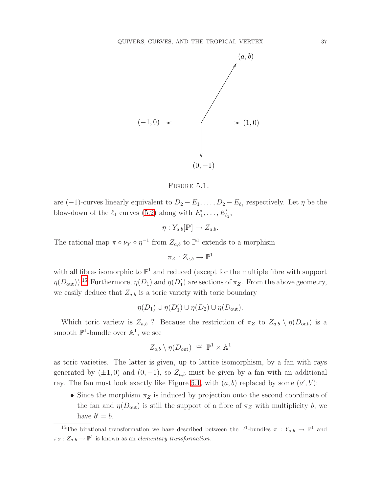

<span id="page-36-0"></span>

are  $(-1)$ -curves linearly equivalent to  $D_2 - E_1, \ldots, D_2 - E_{\ell_1}$  respectively. Let  $\eta$  be the blow-down of the  $\ell_1$  curves [\(5.2\)](#page-35-1) along with  $E'_1, \ldots, E'_{\ell_2}$ ,

$$
\eta: Y_{a,b}[\mathbf{P}] \to Z_{a,b}.
$$

The rational map  $\pi \circ \nu_Y \circ \eta^{-1}$  from  $Z_{a,b}$  to  $\mathbb{P}^1$  extends to a morphism

 $\pi_Z:Z_{a,b}\to \mathbb{P}^1$ 

with all fibres isomorphic to  $\mathbb{P}^1$  and reduced (except for the multiple fibre with support  $\eta(D_{\text{out}})$ ).<sup>[15](#page-36-1)</sup> Furthermore,  $\eta(D_1)$  and  $\eta(D'_1)$  are sections of  $\pi_Z$ . From the above geometry, we easily deduce that  $Z_{a,b}$  is a toric variety with toric boundary

$$
\eta(D_1) \cup \eta(D'_1) \cup \eta(D_2) \cup \eta(D_{\text{out}}).
$$

Which toric variety is  $Z_{a,b}$ ? Because the restriction of  $\pi_Z$  to  $Z_{a,b} \setminus \eta(D_{\text{out}})$  is a smooth  $\mathbb{P}^1$ -bundle over  $\mathbb{A}^1$ , we see

$$
Z_{a,b} \setminus \eta(D_{\text{out}}) \cong \mathbb{P}^1 \times \mathbb{A}^1
$$

as toric varieties. The latter is given, up to lattice isomorphism, by a fan with rays generated by  $(\pm 1, 0)$  and  $(0, -1)$ , so  $Z_{a,b}$  must be given by a fan with an additional ray. The fan must look exactly like Figure [5.1,](#page-36-0) with  $(a, b)$  replaced by some  $(a', b')$ :

• Since the morphism  $\pi_Z$  is induced by projection onto the second coordinate of the fan and  $\eta(D_{\text{out}})$  is still the support of a fibre of  $\pi_Z$  with multiplicity b, we have  $b'=b$ .

<span id="page-36-1"></span><sup>&</sup>lt;sup>15</sup>The birational transformation we have described between the  $\mathbb{P}^1$ -bundles  $\pi: Y_{a,b} \to \mathbb{P}^1$  and  $\pi_Z: Z_{a,b} \to \mathbb{P}^1$  is known as an *elementary transformation*.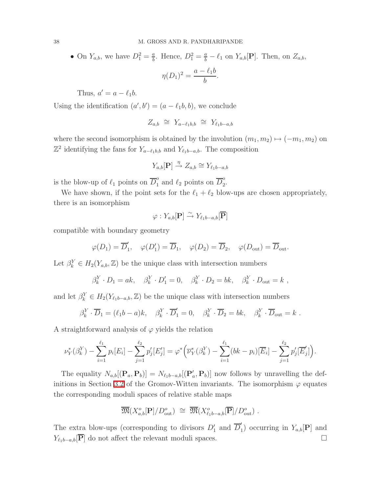• On  $Y_{a,b}$ , we have  $D_1^2 = \frac{a}{b}$  $\frac{a}{b}$ . Hence,  $D_1^2 = \frac{a}{b} - \ell_1$  on  $Y_{a,b}[\mathbf{P}]$ . Then, on  $Z_{a,b}$ ,

$$
\eta(D_1)^2 = \frac{a - \ell_1 b}{b}.
$$

Thus,  $a' = a - \ell_1 b$ .

Using the identification  $(a', b') = (a - \ell_1 b, b)$ , we conclude

$$
Z_{a,b} \cong Y_{a-\ell_1b,b} \cong Y_{\ell_1b-a,b}
$$

where the second isomorphism is obtained by the involution  $(m_1, m_2) \mapsto (-m_1, m_2)$  on  $\mathbb{Z}^2$  identifying the fans for  $Y_{a-\ell_1b,b}$  and  $Y_{\ell_1b-a,b}$ . The composition

$$
Y_{a,b}[\mathbf{P}] \xrightarrow{\eta} Z_{a,b} \cong Y_{\ell_1 b-a,b}
$$

is the blow-up of  $\ell_1$  points on  $\overline{D}_1^o$  $\frac{1}{2}$  and  $\ell_2$  points on  $\overline{D}_2^o$  $\frac{0}{2}$ .

We have shown, if the point sets for the  $\ell_1 + \ell_2$  blow-ups are chosen appropriately, there is an isomorphism

$$
\varphi: Y_{a,b}[\mathbf{P}] \xrightarrow{\sim} Y_{\ell_1 b-a,b}[\mathbf{\overline{P}}]
$$

compatible with boundary geometry

$$
\varphi(D_1) = \overline{D}'_1, \quad \varphi(D'_1) = \overline{D}_1, \quad \varphi(D_2) = \overline{D}_2, \quad \varphi(D_{\text{out}}) = \overline{D}_{\text{out}}.
$$

Let  $\beta_k^Y \in H_2(Y_{a,b}, \mathbb{Z})$  be the unique class with intersection numbers

$$
\beta_k^Y \cdot D_1 = ak, \quad \beta_k^Y \cdot D_1' = 0, \quad \beta_k^Y \cdot D_2 = bk, \quad \beta_k^Y \cdot D_{\text{out}} = k,
$$

and let  $\beta_k^Y \in H_2(Y_{\ell_1 b - a,b}, \mathbb{Z})$  be the unique class with intersection numbers

$$
\beta_k^Y \cdot \overline{D}_1 = (\ell_1 b - a)k, \quad \beta_k^Y \cdot \overline{D}'_1 = 0, \quad \beta_k^Y \cdot \overline{D}_2 = bk, \quad \beta_k^Y \cdot \overline{D}_{out} = k.
$$

A straightforward analysis of  $\varphi$  yields the relation

$$
\nu_Y^*(\beta_k^Y) - \sum_{i=1}^{\ell_1} p_i[E_i] - \sum_{j=1}^{\ell_2} p'_j[E'_j] = \varphi^* \Big( \overline{\nu}_Y^*(\beta_k^Y) - \sum_{i=1}^{\ell_1} (bk - p_i) [\overline{E}_i] - \sum_{j=1}^{\ell_2} p'_j [\overline{E}'_j] \Big).
$$

The equality  $N_{a,b}[(\mathbf{P}_a, \mathbf{P}_b)] = N_{\ell_1 b-a,b}[(\mathbf{P}'_a, \mathbf{P}_b)]$  now follows by unravelling the def-initions in Section [3.2](#page-16-1) of the Gromov-Witten invariants. The isomorphism  $\varphi$  equates the corresponding moduli spaces of relative stable maps

$$
\overline{\mathfrak{M}}(X^o_{a,b}[\mathbf{P}]/D^o_{\text{out}}) \cong \overline{\mathfrak{M}}(X^o_{\ell_1b-a,b}[\overline{\mathbf{P}}]/D^o_{\text{out}}) .
$$

The extra blow-ups (corresponding to divisors  $D'_1$  and  $\overline{D}'_1$  $Y_{a,b}[\mathbf{P}]$  and  $Y_{\ell_1 b-a,b}[\overline{P}]$  do not affect the relevant moduli spaces.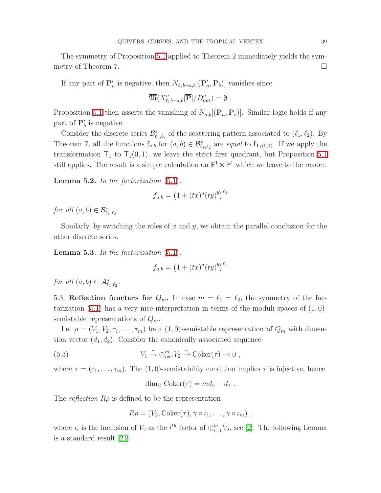The symmetry of Proposition [5.1](#page-35-0) applied to Theorem 2 immediately yields the symmetry of Theorem 7.

If any part of  $\mathbf{P}'_a$  is negative, then  $N_{\ell_1b-a,b}[(\mathbf{P}'_a, \mathbf{P}_b)]$  vanishes since

$$
\overline{\mathfrak{M}}(X^o_{\ell_1 b-a,b}[\overline{\mathbf{P}}]/D^o_{\text{out}}) = \emptyset.
$$

Proposition [5.1](#page-35-0) then asserts the vanishing of  $N_{a,b}[(\mathbf{P}_a, \mathbf{P}_b)]$ . Similar logic holds if any part of  $\mathbf{P}'_b$  is negative.

Consider the discrete series  $\mathcal{B}^*_{\ell_1,\ell_2}$  of the scattering pattern associated to  $(\ell_1,\ell_2)$ . By Theorem 7, all the functions  $f_{a,b}$  for  $(a,b) \in \mathcal{B}_{\ell_1,\ell_2}^*$  are *equal* to  $f_{\mathsf{T}_1(0,1)}$ . If we apply the transformation  $T_1$  to  $T_1(0, 1)$ , we leave the strict first quadrant, but Proposition [5.1](#page-35-0) still applies. The result is a simple calculation on  $\mathbb{P}^1 \times \mathbb{P}^1$  which we leave to the reader.

**Lemma 5.2.** In the factorization  $(5.1)$ ,

$$
f_{a,b} = (1 + (tx)^a (ty)^b)^{\ell_2}
$$

for all  $(a, b) \in \mathcal{B}_{\ell_1, \ell_2}^*$ .

Similarly, by switching the roles of  $x$  and  $y$ , we obtain the parallel conclusion for the other discrete series.

**Lemma 5.3.** In the factorization  $(5.1)$ ,

$$
f_{a,b} = (1 + (tx)^a (ty)^b)^{\ell_1}
$$

for all  $(a, b) \in \mathcal{A}_{\ell_1, \ell_2}^*$ .

5.3. Reflection functors for  $Q_m$ . In case  $m = \ell_1 = \ell_2$ , the symmetry of the fac-torization [\(5.1\)](#page-34-1) has a very nice interpretation in terms of the moduli spaces of  $(1, 0)$ semistable representations of  $Q_m$ .

Let  $\rho = (V_1, V_2, \tau_1, \ldots, \tau_m)$  be a  $(1, 0)$ -semistable representation of  $Q_m$  with dimension vector  $(d_1, d_2)$ . Consider the canonically associated sequence

<span id="page-38-0"></span>(5.3) 
$$
V_1 \stackrel{\tau}{\rightarrow} \bigoplus_{i=1}^m V_2 \stackrel{\gamma}{\rightarrow} \text{Coker}(\tau) \rightarrow 0 ,
$$

where  $\tau = (\tau_1, \ldots, \tau_m)$ . The (1,0)-semistability condition implies  $\tau$  is injective, hence

$$
\dim_{\mathbb{C}} \mathrm{Coker}(\tau) = md_2 - d_1.
$$

The reflection  $R\rho$  is defined to be the representation

$$
R\rho = (V_2, \text{Coker}(\tau), \gamma \circ \iota_1, \ldots, \gamma \circ \iota_m) ,
$$

<span id="page-38-1"></span>where  $\iota_i$  is the inclusion of  $V_2$  as the  $i^{th}$  factor of  $\bigoplus_{i=1}^{m} V_2$ , see [\[2\]](#page-43-18). The following Lemma is a standard result [\[21\]](#page-44-1).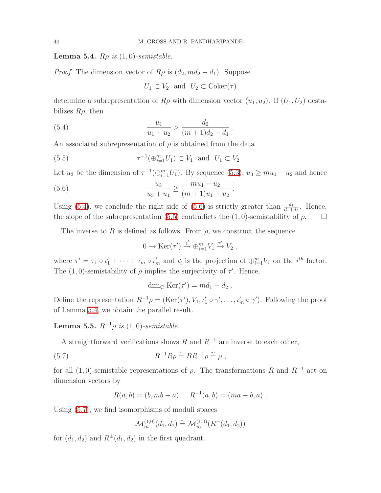**Lemma 5.4.**  $R\rho$  is  $(1,0)$ -semistable.

*Proof.* The dimension vector of  $R\rho$  is  $(d_2, md_2 - d_1)$ . Suppose

$$
U_1 \subset V_2
$$
 and  $U_2 \subset \text{Coker}(\tau)$ 

determine a subrepresentation of  $R\rho$  with dimension vector  $(u_1, u_2)$ . If  $(U_1, U_2)$  destabilizes  $R\rho$ , then

<span id="page-39-0"></span>(5.4) 
$$
\frac{u_1}{u_1 + u_2} > \frac{d_2}{(m+1)d_2 - d_1}.
$$

<span id="page-39-2"></span>An associated subrepresentation of  $\rho$  is obtained from the data

(5.5) 
$$
\tau^{-1}(\bigoplus_{i=1}^{m}U_1) \subset V_1 \text{ and } U_1 \subset V_2.
$$

<span id="page-39-1"></span>Let  $u_3$  be the dimension of  $\tau^{-1}(\bigoplus_{i=1}^m U_1)$ . By sequence [\(5.3\)](#page-38-0),  $u_3 \geq m u_1 - u_2$  and hence

(5.6) 
$$
\frac{u_3}{u_3 + u_1} \ge \frac{m u_1 - u_2}{(m+1)u_1 - u_2}.
$$

Using [\(5.4\)](#page-39-0), we conclude the right side of [\(5.6\)](#page-39-1) is strictly greater than  $\frac{d_1}{d_1+d_2}$ . Hence, the slope of the subrepresentation [\(5.5\)](#page-39-2) contradicts the (1,0)-semistability of  $\rho$ .

The inverse to R is defined as follows. From  $\rho$ , we construct the sequence

$$
0 \to \text{Ker}(\tau') \xrightarrow{\gamma'} \oplus_{i=1}^{m} V_1 \xrightarrow{\tau'} V_2 ,
$$

where  $\tau' = \tau_1 \circ \iota_1' + \cdots + \tau_m \circ \iota_m'$  and  $\iota_i'$  is the projection of  $\bigoplus_{i=1}^m V_i$  on the  $i^{th}$  factor. The (1,0)-semistability of  $\rho$  implies the surjectivity of  $\tau'$ . Hence,

$$
\dim_{\mathbb{C}} \operatorname{Ker}(\tau') = md_1 - d_2.
$$

Define the representation  $R^{-1}\rho = (\text{Ker}(\tau'), V_1, \iota'_1 \circ \gamma', \dots, \iota'_m \circ \gamma')$ . Following the proof of Lemma [5.4,](#page-38-1) we obtain the parallel result.

Lemma 5.5.  $R^{-1} \rho$  is (1,0)-semistable.

<span id="page-39-3"></span>A straightforward verifications shows R and  $R^{-1}$  are inverse to each other,

(5.7) 
$$
R^{-1}R\rho \stackrel{\sim}{=} RR^{-1}\rho \stackrel{\sim}{=} \rho ,
$$

for all  $(1, 0)$ -semistable representations of  $\rho$ . The transformations R and R<sup>-1</sup> act on dimension vectors by

$$
R(a, b) = (b, mb - a), \quad R^{-1}(a, b) = (ma - b, a).
$$

Using [\(5.7\)](#page-39-3), we find isomorphisms of moduli spaces

$$
\mathcal{M}_m^{(1,0)}(d_1, d_2) \stackrel{\sim}{=} \mathcal{M}_m^{(1,0)}(R^{\pm}(d_1, d_2))
$$

for  $(d_1, d_2)$  and  $R^{\pm}(d_1, d_2)$  in the first quadrant.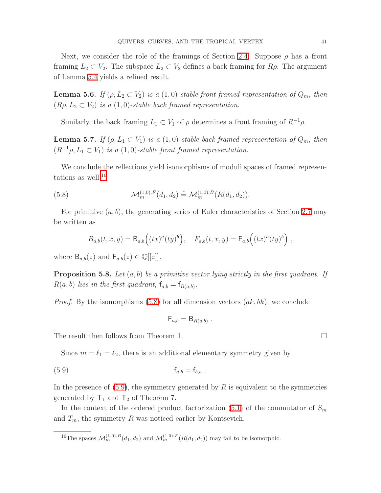Next, we consider the role of the framings of Section [2.4.](#page-10-0) Suppose  $\rho$  has a front framing  $L_2 \subset V_2$ . The subspace  $L_2 \subset V_2$  defines a back framing for  $R\rho$ . The argument of Lemma [5.4](#page-38-1) yields a refined result.

**Lemma 5.6.** If  $(\rho, L_2 \subset V_2)$  is a  $(1, 0)$ -stable front framed representation of  $Q_m$ , then  $(R\rho, L_2 \subset V_2)$  is a  $(1, 0)$ -stable back framed representation.

Similarly, the back framing  $L_1 \subset V_1$  of  $\rho$  determines a front framing of  $R^{-1}\rho$ .

**Lemma 5.7.** If  $(\rho, L_1 \subset V_1)$  is a  $(1, 0)$ -stable back framed representation of  $Q_m$ , then  $(R^{-1}\rho, L_1 \subset V_1)$  is a  $(1,0)$ -stable front framed representation.

We conclude the reflections yield isomorphisms of moduli spaces of framed representations as well,  $^{16}$  $^{16}$  $^{16}$ 

<span id="page-40-1"></span>(5.8) 
$$
\mathcal{M}_m^{(1,0),F}(d_1, d_2) \cong \mathcal{M}_m^{(1,0),B}(R(d_1, d_2)).
$$

For primitive  $(a, b)$ , the generating series of Euler characteristics of Section [2.7](#page-13-0) may be written as

$$
B_{a,b}(t,x,y) = \mathsf{B}_{a,b}\Big((tx)^a(ty)^b\Big), \quad F_{a,b}(t,x,y) = \mathsf{F}_{a,b}\Big((tx)^a(ty)^b\Big) ,
$$

where  $B_{a,b}(z)$  and  $F_{a,b}(z) \in \mathbb{Q}[[z]]$ .

**Proposition 5.8.** Let  $(a, b)$  be a primitive vector lying strictly in the first quadrant. If  $R(a, b)$  lies in the first quadrant,  $f_{a,b} = f_{R(a,b)}$ .

*Proof.* By the isomorphisms [\(5.8\)](#page-40-1) for all dimension vectors  $(ak, bk)$ , we conclude

<span id="page-40-2"></span>
$$
\mathsf{F}_{a,b}=\mathsf{B}_{R(a,b)}.
$$

The result then follows from Theorem 1.

Since  $m = \ell_1 = \ell_2$ , there is an additional elementary symmetry given by

$$
\mathbf{f}_{a,b} = \mathbf{f}_{b,a} .
$$

In the presence of  $(5.9)$ , the symmetry generated by R is equivalent to the symmetries generated by  $T_1$  and  $T_2$  of Theorem 7.

In the context of the ordered product factorization [\(5.1\)](#page-34-1) of the commutator of  $S_m$ and  $T_m$ , the symmetry R was noticed earlier by Kontsevich.

<span id="page-40-0"></span><sup>16</sup>The spaces  $\mathcal{M}_m^{(1,0),B}(d_1, d_2)$  and  $\mathcal{M}_m^{(1,0),F}(R(d_1, d_2))$  may fail to be isomorphic.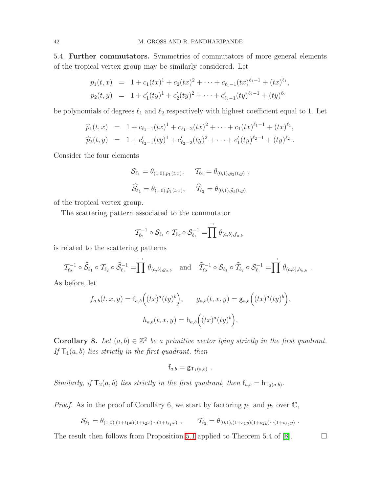5.4. Further commutators. Symmetries of commutators of more general elements of the tropical vertex group may be similarly considered. Let

$$
p_1(t,x) = 1 + c_1(tx)^1 + c_2(tx)^2 + \cdots + c_{\ell_1-1}(tx)^{\ell_1-1} + (tx)^{\ell_1},
$$
  
\n
$$
p_2(t,y) = 1 + c'_1(ty)^1 + c'_2(ty)^2 + \cdots + c'_{\ell_2-1}(ty)^{\ell_2-1} + (ty)^{\ell_2}
$$

be polynomials of degrees  $\ell_1$  and  $\ell_2$  respectively with highest coefficient equal to 1. Let

$$
\widehat{p}_1(t,x) = 1 + c_{\ell_1-1}(tx)^1 + c_{\ell_1-2}(tx)^2 + \cdots + c_1(tx)^{\ell_1-1} + (tx)^{\ell_1}, \n\widehat{p}_2(t,y) = 1 + c'_{\ell_2-1}(ty)^1 + c'_{\ell_2-2}(ty)^2 + \cdots + c'_1(ty)^{\ell_2-1} + (ty)^{\ell_2}.
$$

Consider the four elements

$$
\mathcal{S}_{\ell_1} = \theta_{(1,0),p_1(t,x)}, \quad \mathcal{T}_{\ell_2} = \theta_{(0,1),p_2(t,y)},
$$
  

$$
\widehat{\mathcal{S}}_{\ell_1} = \theta_{(1,0),\widehat{p}_1(t,x)}, \quad \widehat{\mathcal{I}}_{\ell_2} = \theta_{(0,1),\widehat{p}_2(t,y)}
$$

of the tropical vertex group.

The scattering pattern associated to the commutator

$$
\mathcal{T}_{\ell_2}^{-1} \circ \mathcal{S}_{\ell_1} \circ \mathcal{T}_{\ell_2} \circ \mathcal{S}_{\ell_1}^{-1} = \prod^{\rightarrow} \theta_{(a,b),f_{a,b}}
$$

is related to the scattering patterns

$$
\mathcal{T}_{\ell_2}^{-1} \circ \widehat{\mathcal{S}}_{\ell_1} \circ \mathcal{T}_{\ell_2} \circ \widehat{\mathcal{S}}_{\ell_1}^{-1} = \prod_{i=1}^{d} \theta_{(a,b),g_{a,b}} \quad \text{and} \quad \widehat{\mathcal{T}}_{\ell_2}^{-1} \circ \mathcal{S}_{\ell_1} \circ \widehat{\mathcal{T}}_{\ell_2} \circ \mathcal{S}_{\ell_1}^{-1} = \prod_{i=1}^{d} \theta_{(a,b),h_{a,b}}.
$$

As before, let

$$
f_{a,b}(t,x,y) = f_{a,b}\Big((tx)^a(ty)^b\Big), \qquad g_{a,b}(t,x,y) = g_{a,b}\Big((tx)^a(ty)^b\Big),
$$

$$
h_{a,b}(t,x,y) = h_{a,b}\Big((tx)^a(ty)^b\Big).
$$

**Corollary 8.** Let  $(a, b) \in \mathbb{Z}^2$  be a primitive vector lying strictly in the first quadrant. If  $T_1(a, b)$  lies strictly in the first quadrant, then

$$
\mathsf{f}_{a,b}=\mathsf{g}_{\mathsf{T}_1(a,b)}\ .
$$

Similarly, if  $T_2(a, b)$  lies strictly in the first quadrant, then  $f_{a,b} = h_{T_2(a,b)}$ .

*Proof.* As in the proof of Corollary 6, we start by factoring  $p_1$  and  $p_2$  over  $\mathbb{C}$ ,

$$
\mathcal{S}_{\ell_1} = \theta_{(1,0),(1+t_1x)(1+t_2x)\cdots(1+t_{\ell_1}x)}, \qquad \mathcal{T}_{\ell_2} = \theta_{(0,1),(1+s_1y)(1+s_2y)\cdots(1+s_{\ell_2}y)}.
$$

The result then follows from Proposition [5.1](#page-35-0) applied to Theorem 5.4 of [\[8\]](#page-43-4).  $\Box$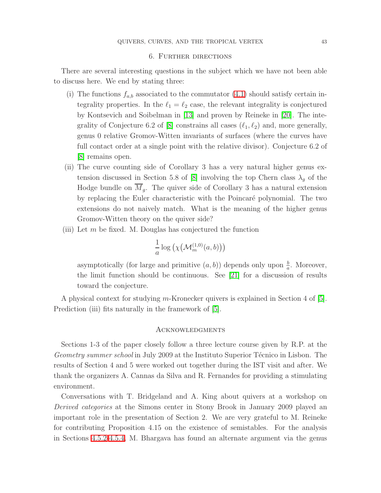## 6. Further directions

<span id="page-42-0"></span>There are several interesting questions in the subject which we have not been able to discuss here. We end by stating three:

- (i) The functions  $f_{a,b}$  associated to the commutator [\(4.1\)](#page-21-1) should satisfy certain integrality properties. In the  $\ell_1 = \ell_2$  case, the relevant integrality is conjectured by Kontsevich and Soibelman in [\[13\]](#page-43-5) and proven by Reineke in [\[20\]](#page-44-0). The inte-grality of Conjecture 6.2 of [\[8\]](#page-43-4) constrains all cases  $(\ell_1, \ell_2)$  and, more generally, genus 0 relative Gromov-Witten invariants of surfaces (where the curves have full contact order at a single point with the relative divisor). Conjecture 6.2 of [\[8\]](#page-43-4) remains open.
- (ii) The curve counting side of Corollary 3 has a very natural higher genus ex-tension discussed in Section 5.8 of [\[8\]](#page-43-4) involving the top Chern class  $\lambda_q$  of the Hodge bundle on  $\overline{M}_q$ . The quiver side of Corollary 3 has a natural extension by replacing the Euler characteristic with the Poincar´e polynomial. The two extensions do not naively match. What is the meaning of the higher genus Gromov-Witten theory on the quiver side?
- (iii) Let  $m$  be fixed. M. Douglas has conjectured the function

$$
\frac{1}{a}\log\left(\chi\big(\mathcal{M}_m^{(1,0)}(a,b)\big)\right)
$$

asymptotically (for large and primitive  $(a, b)$ ) depends only upon  $\frac{b}{a}$ . Moreover, the limit function should be continuous. See [\[21\]](#page-44-1) for a discussion of results toward the conjecture.

A physical context for studying m-Kronecker quivers is explained in Section 4 of [\[5\]](#page-43-19). Prediction (iii) fits naturally in the framework of [\[5\]](#page-43-19).

#### **ACKNOWLEDGMENTS**

<span id="page-42-1"></span>Sections 1-3 of the paper closely follow a three lecture course given by R.P. at the Geometry summer school in July 2009 at the Instituto Superior Técnico in Lisbon. The results of Section 4 and 5 were worked out together during the IST visit and after. We thank the organizers A. Cannas da Silva and R. Fernandes for providing a stimulating environment.

Conversations with T. Bridgeland and A. King about quivers at a workshop on Derived categories at the Simons center in Stony Brook in January 2009 played an important role in the presentation of Section 2. We are very grateful to M. Reineke for contributing Proposition 4.15 on the existence of semistables. For the analysis in Sections [4.5.2-](#page-28-2)[4.5.4,](#page-30-1) M. Bhargava has found an alternate argument via the genus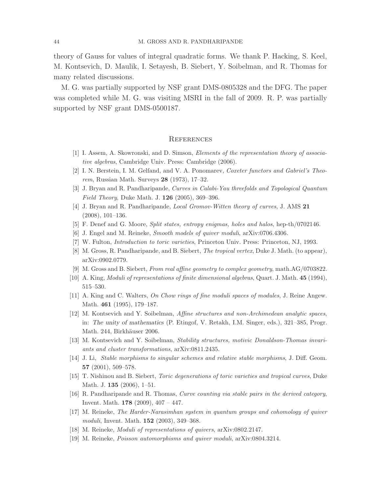theory of Gauss for values of integral quadratic forms. We thank P. Hacking, S. Keel, M. Kontsevich, D. Maulik, I. Setayesh, B. Siebert, Y. Soibelman, and R. Thomas for many related discussions.

M. G. was partially supported by NSF grant DMS-0805328 and the DFG. The paper was completed while M. G. was visiting MSRI in the fall of 2009. R. P. was partially supported by NSF grant DMS-0500187.

#### **REFERENCES**

- <span id="page-43-18"></span><span id="page-43-8"></span><span id="page-43-0"></span>[1] I. Assem, A. Skowronski, and D. Simson, Elements of the representation theory of associative algebras, Cambridge Univ. Press: Cambridge (2006).
- [2] I. N. Berstein, I. M. Gelfand, and V. A. Ponomarev, Coxeter functors and Gabriel's Theorem, Russian Math. Surveys 28 (1973), 17–32.
- <span id="page-43-14"></span><span id="page-43-13"></span>[3] J. Bryan and R. Pandharipande, Curves in Calabi-Yau threefolds and Topological Quantum *Field Theory*, Duke Math. J.  $126$  (2005), 369–396.
- <span id="page-43-19"></span>[4] J. Bryan and R. Pandharipande, Local Gromov-Witten theory of curves, J. AMS 21 (2008), 101–136.
- <span id="page-43-9"></span>[5] F. Denef and G. Moore, Split states, entropy enigmas, holes and halos, hep-th/0702146.
- [6] J. Engel and M. Reineke, Smooth models of quiver moduli, arXiv:0706.4306.
- <span id="page-43-10"></span><span id="page-43-4"></span>[7] W. Fulton, Introduction to toric varieties, Princeton Univ. Press: Princeton, NJ, 1993.
- [8] M. Gross, R. Pandharipande, and B. Siebert, The tropical vertex, Duke J. Math. (to appear), arXiv:0902.0779.
- [9] M. Gross and B. Siebert, From real affine geometry to complex geometry, math.AG/0703822.
- <span id="page-43-16"></span><span id="page-43-6"></span><span id="page-43-2"></span>[10] A. King, Moduli of representations of finite dimensional algebras, Quart. J. Math. 45 (1994), 515–530.
- <span id="page-43-1"></span>[11] A. King and C. Walters, On Chow rings of fine moduli spaces of modules, J. Reine Angew. Math. 461 (1995), 179–187.
- [12] M. Kontsevich and Y. Soibelman, Affine structures and non-Archimedean analytic spaces, in: The unity of mathematics (P. Etingof, V. Retakh, I.M. Singer, eds.), 321–385, Progr. Math. 244, Birkhäuser 2006.
- <span id="page-43-11"></span><span id="page-43-5"></span>[13] M. Kontsevich and Y. Soibelman, Stability structures, motivic Donaldson-Thomas invariants and cluster transformations, arXiv:0811.2435.
- <span id="page-43-12"></span>[14] J. Li, Stable morphisms to singular schemes and relative stable morphisms, J. Diff. Geom. 57 (2001), 509–578.
- <span id="page-43-15"></span>[15] T. Nishinou and B. Siebert, Toric degenerations of toric varieties and tropical curves, Duke Math. J. 135 (2006), 1–51.
- <span id="page-43-17"></span>[16] R. Pandharipande and R. Thomas, Curve counting via stable pairs in the derived category, Invent. Math. 178 (2009), 407 – 447.
- <span id="page-43-7"></span>[17] M. Reineke, The Harder-Narasimhan system in quantum groups and cohomology of quiver moduli, Invent. Math. **152** (2003), 349-368.
- <span id="page-43-3"></span>[18] M. Reineke, Moduli of representations of quivers, arXiv:0802.2147.
- [19] M. Reineke, Poisson automorphisms and quiver moduli, arXiv:0804.3214.